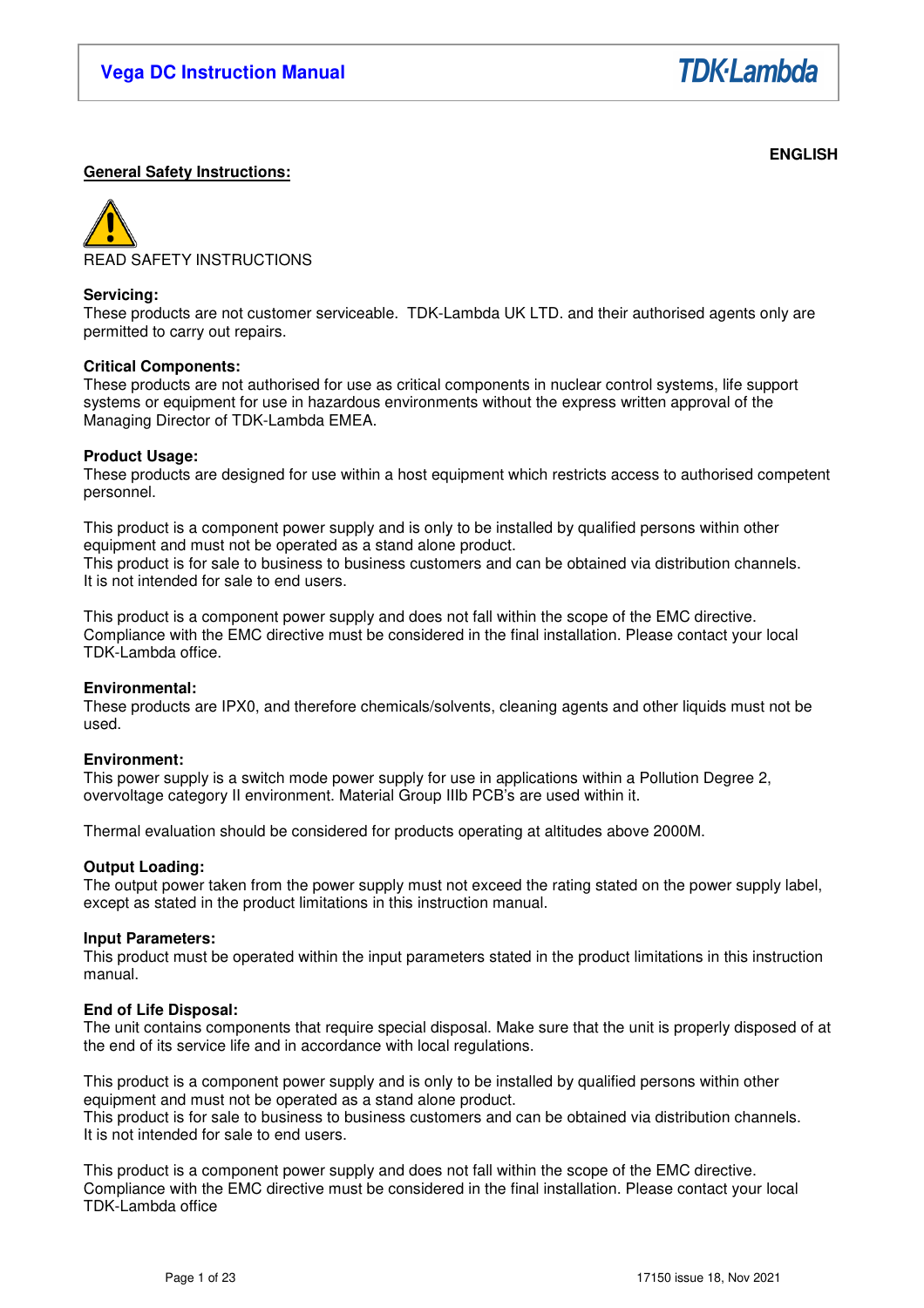

# **ENGLISH**

# **General Safety Instructions:**



### **Servicing:**

These products are not customer serviceable. TDK-Lambda UK LTD. and their authorised agents only are permitted to carry out repairs.

### **Critical Components:**

These products are not authorised for use as critical components in nuclear control systems, life support systems or equipment for use in hazardous environments without the express written approval of the Managing Director of TDK-Lambda EMEA.

### **Product Usage:**

These products are designed for use within a host equipment which restricts access to authorised competent personnel.

This product is a component power supply and is only to be installed by qualified persons within other equipment and must not be operated as a stand alone product. This product is for sale to business to business customers and can be obtained via distribution channels. It is not intended for sale to end users.

This product is a component power supply and does not fall within the scope of the EMC directive. Compliance with the EMC directive must be considered in the final installation. Please contact your local TDK-Lambda office.

### **Environmental:**

These products are IPX0, and therefore chemicals/solvents, cleaning agents and other liquids must not be used.

### **Environment:**

This power supply is a switch mode power supply for use in applications within a Pollution Degree 2, overvoltage category II environment. Material Group IIIb PCB's are used within it.

Thermal evaluation should be considered for products operating at altitudes above 2000M.

### **Output Loading:**

The output power taken from the power supply must not exceed the rating stated on the power supply label, except as stated in the product limitations in this instruction manual.

### **Input Parameters:**

This product must be operated within the input parameters stated in the product limitations in this instruction manual.

### **End of Life Disposal:**

The unit contains components that require special disposal. Make sure that the unit is properly disposed of at the end of its service life and in accordance with local regulations.

This product is a component power supply and is only to be installed by qualified persons within other equipment and must not be operated as a stand alone product.

This product is for sale to business to business customers and can be obtained via distribution channels. It is not intended for sale to end users.

This product is a component power supply and does not fall within the scope of the EMC directive. Compliance with the EMC directive must be considered in the final installation. Please contact your local TDK-Lambda office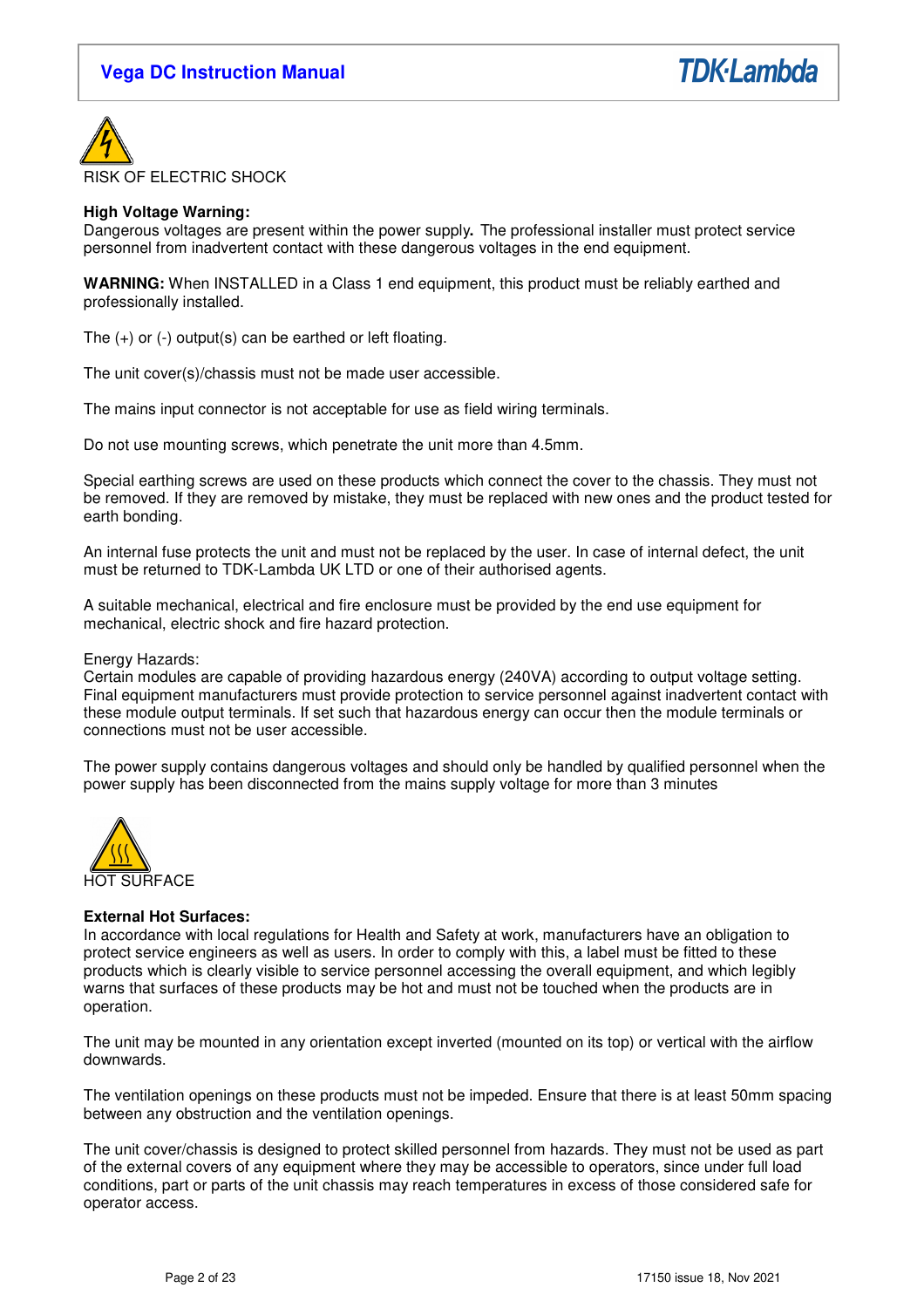



### **High Voltage Warning:**

Dangerous voltages are present within the power supply**.** The professional installer must protect service personnel from inadvertent contact with these dangerous voltages in the end equipment.

**WARNING:** When INSTALLED in a Class 1 end equipment, this product must be reliably earthed and professionally installed.

The  $(+)$  or  $(-)$  output $(s)$  can be earthed or left floating.

The unit cover(s)/chassis must not be made user accessible.

The mains input connector is not acceptable for use as field wiring terminals.

Do not use mounting screws, which penetrate the unit more than 4.5mm.

Special earthing screws are used on these products which connect the cover to the chassis. They must not be removed. If they are removed by mistake, they must be replaced with new ones and the product tested for earth bonding.

An internal fuse protects the unit and must not be replaced by the user. In case of internal defect, the unit must be returned to TDK-Lambda UK LTD or one of their authorised agents.

A suitable mechanical, electrical and fire enclosure must be provided by the end use equipment for mechanical, electric shock and fire hazard protection.

### Energy Hazards:

Certain modules are capable of providing hazardous energy (240VA) according to output voltage setting. Final equipment manufacturers must provide protection to service personnel against inadvertent contact with these module output terminals. If set such that hazardous energy can occur then the module terminals or connections must not be user accessible.

The power supply contains dangerous voltages and should only be handled by qualified personnel when the power supply has been disconnected from the mains supply voltage for more than 3 minutes



### **External Hot Surfaces:**

In accordance with local regulations for Health and Safety at work, manufacturers have an obligation to protect service engineers as well as users. In order to comply with this, a label must be fitted to these products which is clearly visible to service personnel accessing the overall equipment, and which legibly warns that surfaces of these products may be hot and must not be touched when the products are in operation.

The unit may be mounted in any orientation except inverted (mounted on its top) or vertical with the airflow downwards.

The ventilation openings on these products must not be impeded. Ensure that there is at least 50mm spacing between any obstruction and the ventilation openings.

The unit cover/chassis is designed to protect skilled personnel from hazards. They must not be used as part of the external covers of any equipment where they may be accessible to operators, since under full load conditions, part or parts of the unit chassis may reach temperatures in excess of those considered safe for operator access.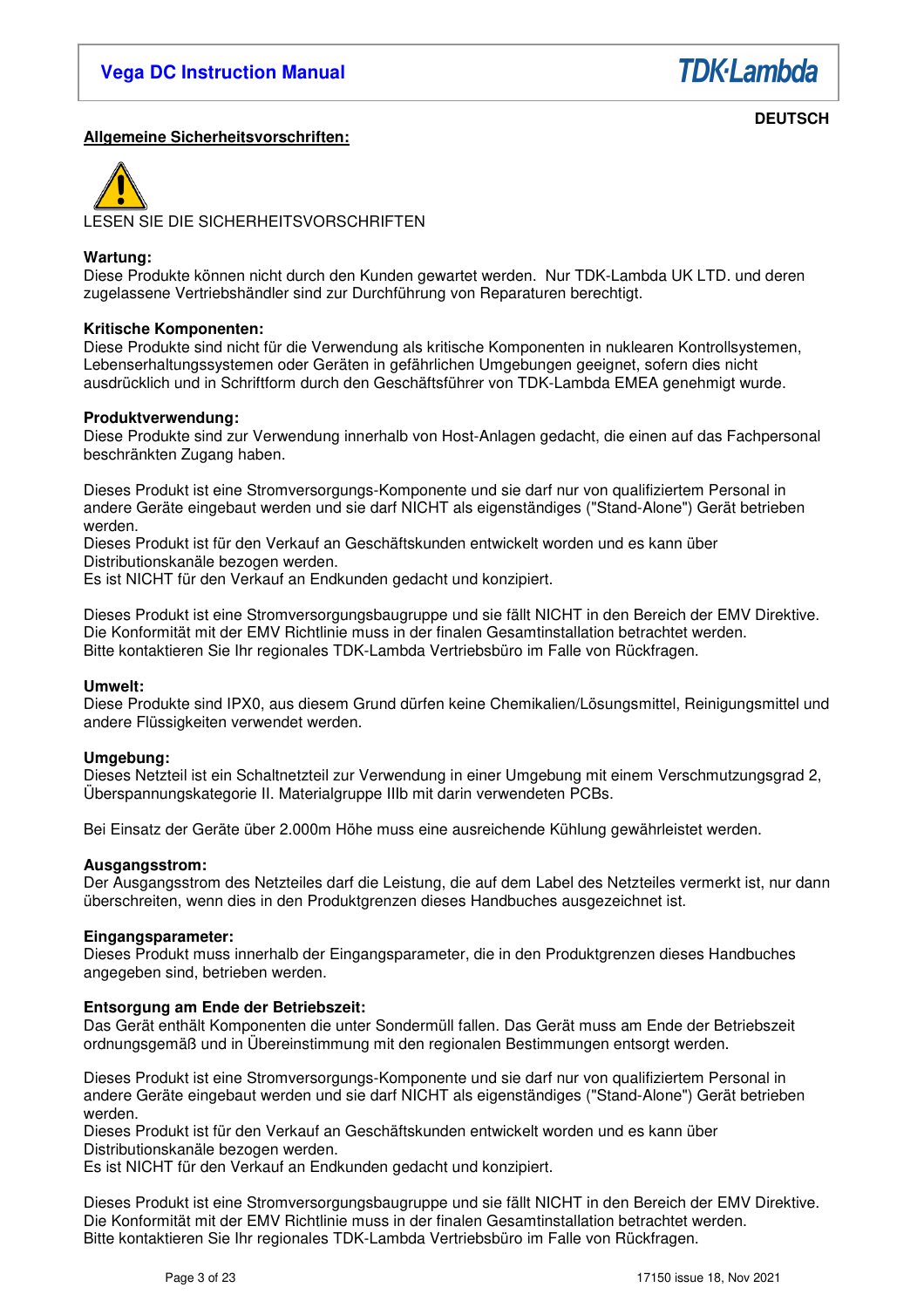

# **Allgemeine Sicherheitsvorschriften:**

**DEUTSCH** 



# **Wartung:**

Diese Produkte können nicht durch den Kunden gewartet werden. Nur TDK-Lambda UK LTD. und deren zugelassene Vertriebshändler sind zur Durchführung von Reparaturen berechtigt.

### **Kritische Komponenten:**

Diese Produkte sind nicht für die Verwendung als kritische Komponenten in nuklearen Kontrollsystemen, Lebenserhaltungssystemen oder Geräten in gefährlichen Umgebungen geeignet, sofern dies nicht ausdrücklich und in Schriftform durch den Geschäftsführer von TDK-Lambda EMEA genehmigt wurde.

### **Produktverwendung:**

Diese Produkte sind zur Verwendung innerhalb von Host-Anlagen gedacht, die einen auf das Fachpersonal beschränkten Zugang haben.

Dieses Produkt ist eine Stromversorgungs-Komponente und sie darf nur von qualifiziertem Personal in andere Geräte eingebaut werden und sie darf NICHT als eigenständiges ("Stand-Alone") Gerät betrieben werden.

Dieses Produkt ist für den Verkauf an Geschäftskunden entwickelt worden und es kann über Distributionskanäle bezogen werden.

Es ist NICHT für den Verkauf an Endkunden gedacht und konzipiert.

Dieses Produkt ist eine Stromversorgungsbaugruppe und sie fällt NICHT in den Bereich der EMV Direktive. Die Konformität mit der EMV Richtlinie muss in der finalen Gesamtinstallation betrachtet werden. Bitte kontaktieren Sie Ihr regionales TDK-Lambda Vertriebsbüro im Falle von Rückfragen.

### **Umwelt:**

Diese Produkte sind IPX0, aus diesem Grund dürfen keine Chemikalien/Lösungsmittel, Reinigungsmittel und andere Flüssigkeiten verwendet werden.

### **Umgebung:**

Dieses Netzteil ist ein Schaltnetzteil zur Verwendung in einer Umgebung mit einem Verschmutzungsgrad 2, Überspannungskategorie II. Materialgruppe IIIb mit darin verwendeten PCBs.

Bei Einsatz der Geräte über 2.000m Höhe muss eine ausreichende Kühlung gewährleistet werden.

### **Ausgangsstrom:**

Der Ausgangsstrom des Netzteiles darf die Leistung, die auf dem Label des Netzteiles vermerkt ist, nur dann überschreiten, wenn dies in den Produktgrenzen dieses Handbuches ausgezeichnet ist.

### **Eingangsparameter:**

Dieses Produkt muss innerhalb der Eingangsparameter, die in den Produktgrenzen dieses Handbuches angegeben sind, betrieben werden.

### **Entsorgung am Ende der Betriebszeit:**

Das Gerät enthält Komponenten die unter Sondermüll fallen. Das Gerät muss am Ende der Betriebszeit ordnungsgemäß und in Übereinstimmung mit den regionalen Bestimmungen entsorgt werden.

Dieses Produkt ist eine Stromversorgungs-Komponente und sie darf nur von qualifiziertem Personal in andere Geräte eingebaut werden und sie darf NICHT als eigenständiges ("Stand-Alone") Gerät betrieben werden.

Dieses Produkt ist für den Verkauf an Geschäftskunden entwickelt worden und es kann über Distributionskanäle bezogen werden.

Es ist NICHT für den Verkauf an Endkunden gedacht und konzipiert.

Dieses Produkt ist eine Stromversorgungsbaugruppe und sie fällt NICHT in den Bereich der EMV Direktive. Die Konformität mit der EMV Richtlinie muss in der finalen Gesamtinstallation betrachtet werden. Bitte kontaktieren Sie Ihr regionales TDK-Lambda Vertriebsbüro im Falle von Rückfragen.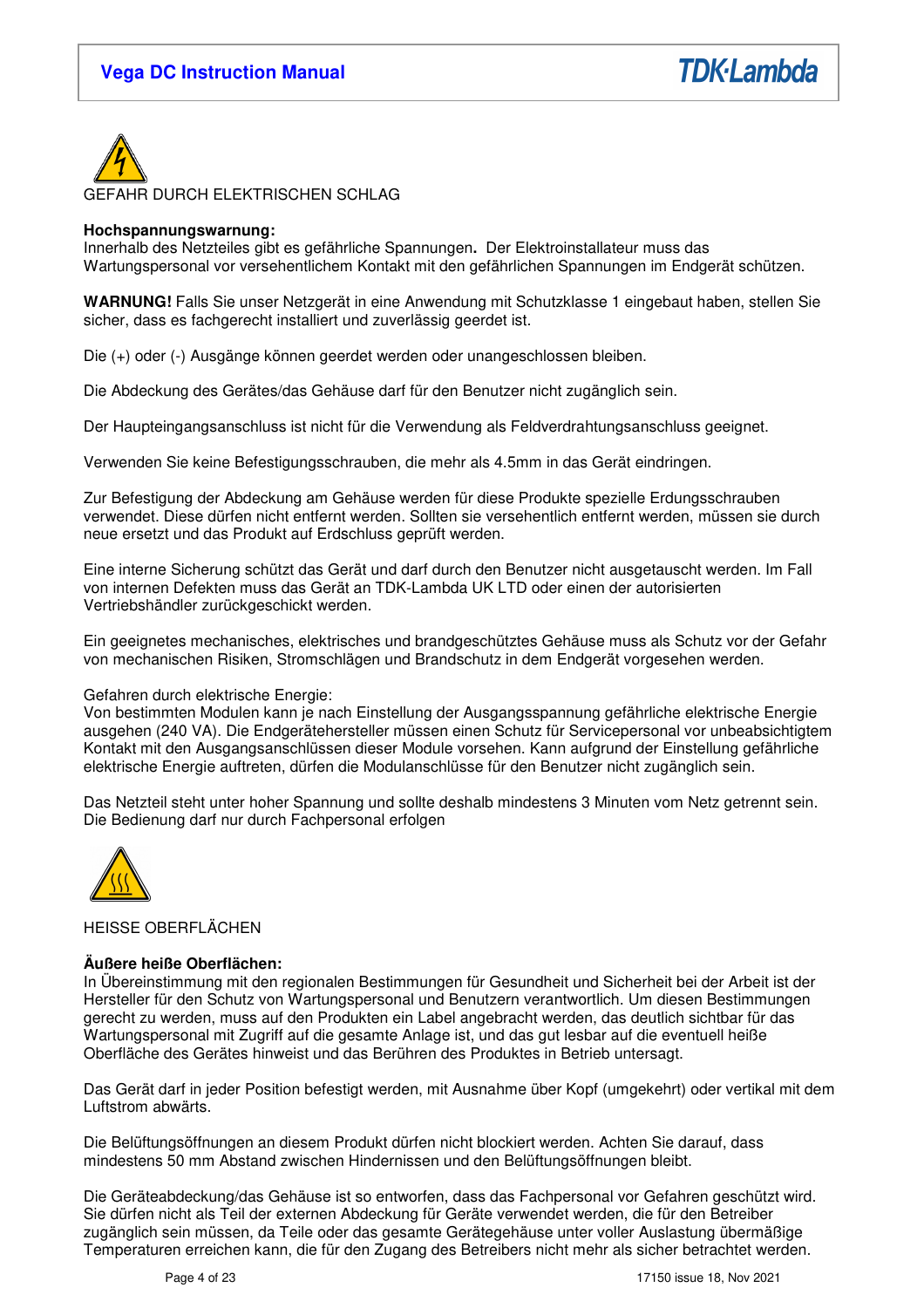



GEFAHR DURCH ELEKTRISCHEN SCHLAG

### **Hochspannungswarnung:**

Innerhalb des Netzteiles gibt es gefährliche Spannungen**.** Der Elektroinstallateur muss das Wartungspersonal vor versehentlichem Kontakt mit den gefährlichen Spannungen im Endgerät schützen.

**WARNUNG!** Falls Sie unser Netzgerät in eine Anwendung mit Schutzklasse 1 eingebaut haben, stellen Sie sicher, dass es fachgerecht installiert und zuverlässig geerdet ist.

Die (+) oder (-) Ausgänge können geerdet werden oder unangeschlossen bleiben.

Die Abdeckung des Gerätes/das Gehäuse darf für den Benutzer nicht zugänglich sein.

Der Haupteingangsanschluss ist nicht für die Verwendung als Feldverdrahtungsanschluss geeignet.

Verwenden Sie keine Befestigungsschrauben, die mehr als 4.5mm in das Gerät eindringen.

Zur Befestigung der Abdeckung am Gehäuse werden für diese Produkte spezielle Erdungsschrauben verwendet. Diese dürfen nicht entfernt werden. Sollten sie versehentlich entfernt werden, müssen sie durch neue ersetzt und das Produkt auf Erdschluss geprüft werden.

Eine interne Sicherung schützt das Gerät und darf durch den Benutzer nicht ausgetauscht werden. Im Fall von internen Defekten muss das Gerät an TDK-Lambda UK LTD oder einen der autorisierten Vertriebshändler zurückgeschickt werden.

Ein geeignetes mechanisches, elektrisches und brandgeschütztes Gehäuse muss als Schutz vor der Gefahr von mechanischen Risiken, Stromschlägen und Brandschutz in dem Endgerät vorgesehen werden.

### Gefahren durch elektrische Energie:

Von bestimmten Modulen kann je nach Einstellung der Ausgangsspannung gefährliche elektrische Energie ausgehen (240 VA). Die Endgerätehersteller müssen einen Schutz für Servicepersonal vor unbeabsichtigtem Kontakt mit den Ausgangsanschlüssen dieser Module vorsehen. Kann aufgrund der Einstellung gefährliche elektrische Energie auftreten, dürfen die Modulanschlüsse für den Benutzer nicht zugänglich sein.

Das Netzteil steht unter hoher Spannung und sollte deshalb mindestens 3 Minuten vom Netz getrennt sein. Die Bedienung darf nur durch Fachpersonal erfolgen



### HEISSE OBERFLÄCHEN

### **Äußere heiße Oberflächen:**

In Übereinstimmung mit den regionalen Bestimmungen für Gesundheit und Sicherheit bei der Arbeit ist der Hersteller für den Schutz von Wartungspersonal und Benutzern verantwortlich. Um diesen Bestimmungen gerecht zu werden, muss auf den Produkten ein Label angebracht werden, das deutlich sichtbar für das Wartungspersonal mit Zugriff auf die gesamte Anlage ist, und das gut lesbar auf die eventuell heiße Oberfläche des Gerätes hinweist und das Berühren des Produktes in Betrieb untersagt.

Das Gerät darf in jeder Position befestigt werden, mit Ausnahme über Kopf (umgekehrt) oder vertikal mit dem Luftstrom abwärts.

Die Belüftungsöffnungen an diesem Produkt dürfen nicht blockiert werden. Achten Sie darauf, dass mindestens 50 mm Abstand zwischen Hindernissen und den Belüftungsöffnungen bleibt.

Die Geräteabdeckung/das Gehäuse ist so entworfen, dass das Fachpersonal vor Gefahren geschützt wird. Sie dürfen nicht als Teil der externen Abdeckung für Geräte verwendet werden, die für den Betreiber zugänglich sein müssen, da Teile oder das gesamte Gerätegehäuse unter voller Auslastung übermäßige Temperaturen erreichen kann, die für den Zugang des Betreibers nicht mehr als sicher betrachtet werden.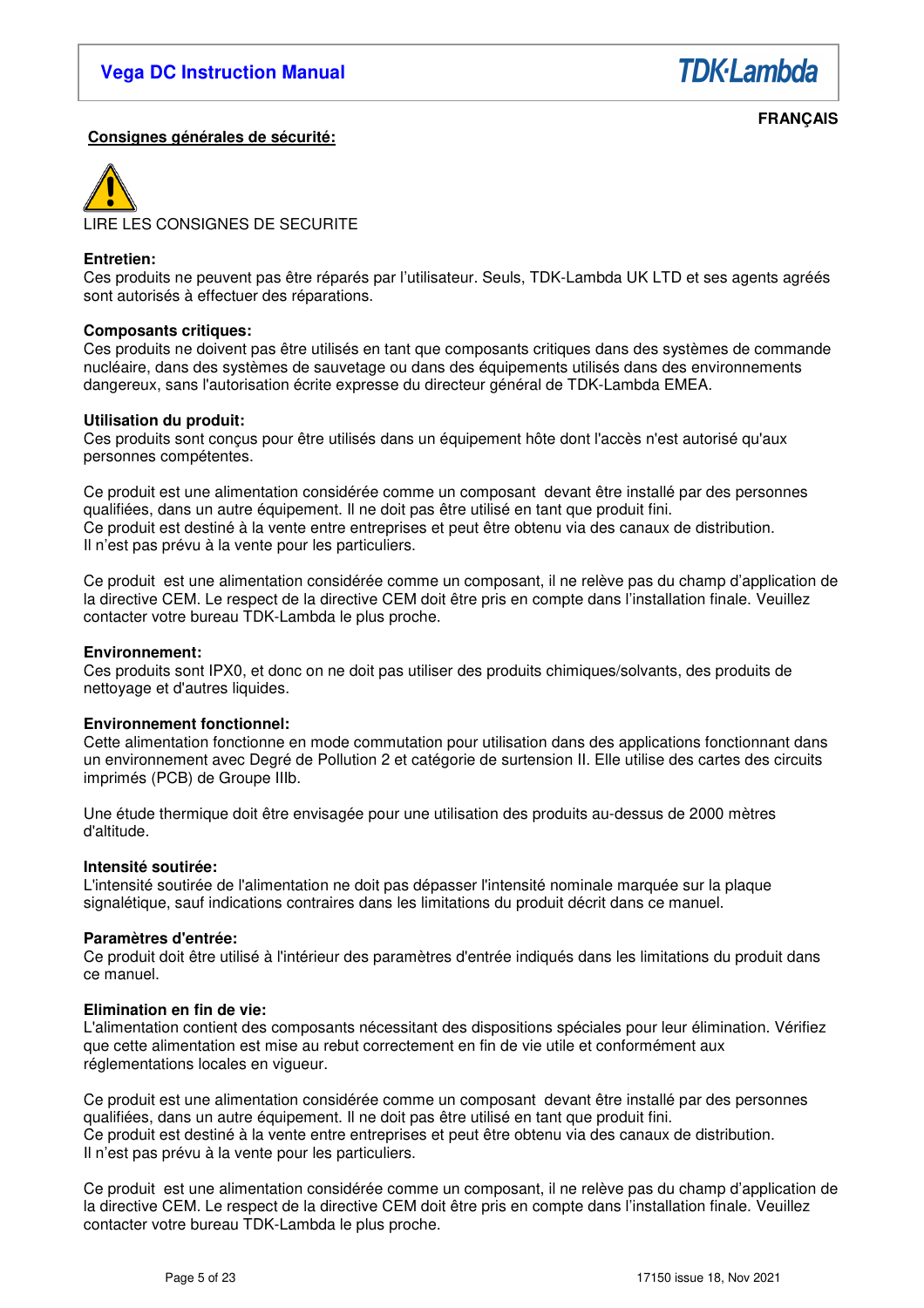**TDK**-Lambda

## **Consignes générales de sécurité:**

 **FRANÇAIS** 



# **Entretien:**

Ces produits ne peuvent pas être réparés par l'utilisateur. Seuls, TDK-Lambda UK LTD et ses agents agréés sont autorisés à effectuer des réparations.

### **Composants critiques:**

Ces produits ne doivent pas être utilisés en tant que composants critiques dans des systèmes de commande nucléaire, dans des systèmes de sauvetage ou dans des équipements utilisés dans des environnements dangereux, sans l'autorisation écrite expresse du directeur général de TDK-Lambda EMEA.

### **Utilisation du produit:**

Ces produits sont conçus pour être utilisés dans un équipement hôte dont l'accès n'est autorisé qu'aux personnes compétentes.

Ce produit est une alimentation considérée comme un composant devant être installé par des personnes qualifiées, dans un autre équipement. Il ne doit pas être utilisé en tant que produit fini. Ce produit est destiné à la vente entre entreprises et peut être obtenu via des canaux de distribution. Il n'est pas prévu à la vente pour les particuliers.

Ce produit est une alimentation considérée comme un composant, il ne relève pas du champ d'application de la directive CEM. Le respect de la directive CEM doit être pris en compte dans l'installation finale. Veuillez contacter votre bureau TDK-Lambda le plus proche.

### **Environnement:**

Ces produits sont IPX0, et donc on ne doit pas utiliser des produits chimiques/solvants, des produits de nettoyage et d'autres liquides.

### **Environnement fonctionnel:**

Cette alimentation fonctionne en mode commutation pour utilisation dans des applications fonctionnant dans un environnement avec Degré de Pollution 2 et catégorie de surtension II. Elle utilise des cartes des circuits imprimés (PCB) de Groupe IIIb.

Une étude thermique doit être envisagée pour une utilisation des produits au-dessus de 2000 mètres d'altitude.

### **Intensité soutirée:**

L'intensité soutirée de l'alimentation ne doit pas dépasser l'intensité nominale marquée sur la plaque signalétique, sauf indications contraires dans les limitations du produit décrit dans ce manuel.

### **Paramètres d'entrée:**

Ce produit doit être utilisé à l'intérieur des paramètres d'entrée indiqués dans les limitations du produit dans ce manuel.

### **Elimination en fin de vie:**

L'alimentation contient des composants nécessitant des dispositions spéciales pour leur élimination. Vérifiez que cette alimentation est mise au rebut correctement en fin de vie utile et conformément aux réglementations locales en vigueur.

Ce produit est une alimentation considérée comme un composant devant être installé par des personnes qualifiées, dans un autre équipement. Il ne doit pas être utilisé en tant que produit fini. Ce produit est destiné à la vente entre entreprises et peut être obtenu via des canaux de distribution. Il n'est pas prévu à la vente pour les particuliers.

Ce produit est une alimentation considérée comme un composant, il ne relève pas du champ d'application de la directive CEM. Le respect de la directive CEM doit être pris en compte dans l'installation finale. Veuillez contacter votre bureau TDK-Lambda le plus proche.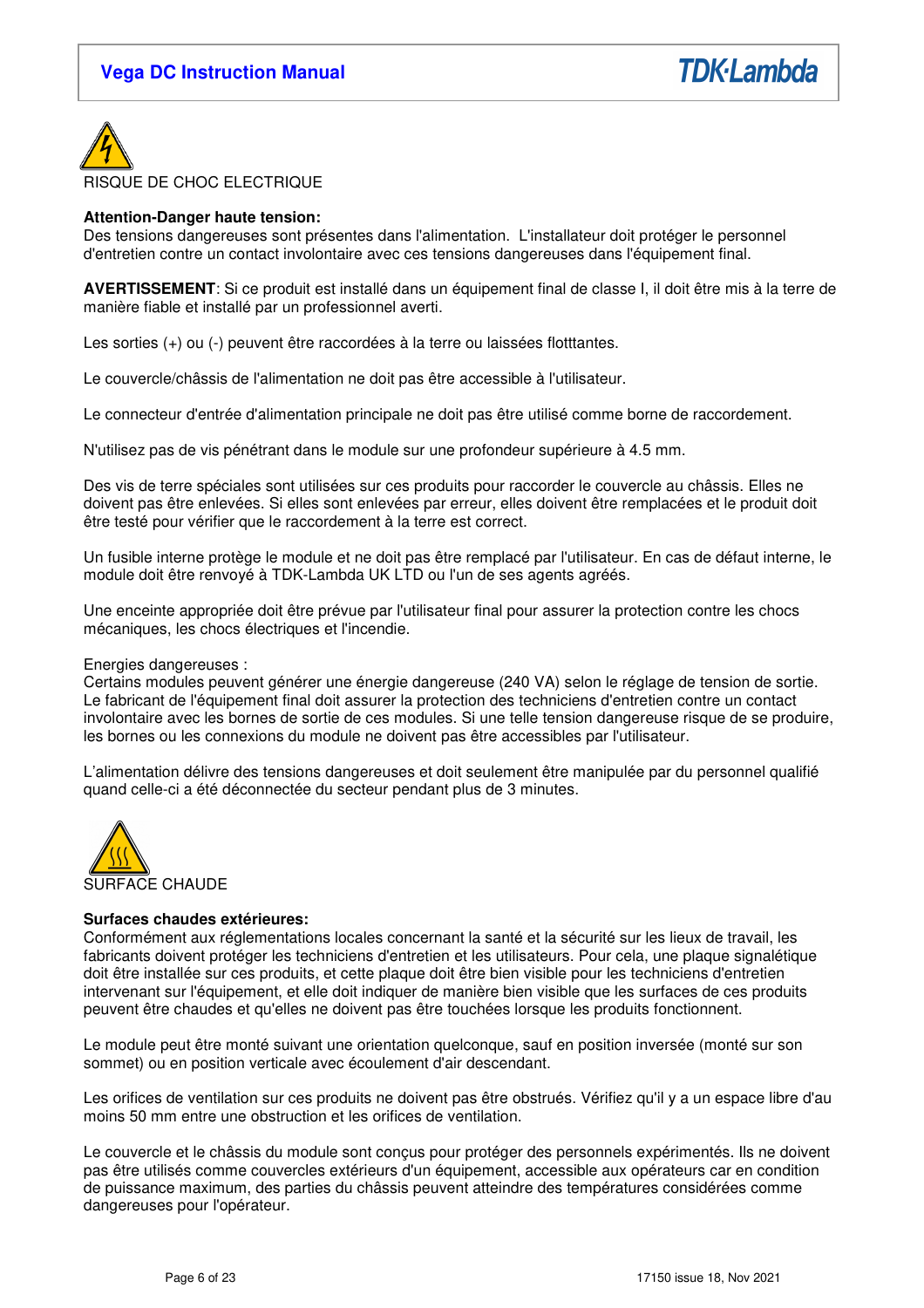



### **Attention-Danger haute tension:**

Des tensions dangereuses sont présentes dans l'alimentation. L'installateur doit protéger le personnel d'entretien contre un contact involontaire avec ces tensions dangereuses dans l'équipement final.

**AVERTISSEMENT**: Si ce produit est installé dans un équipement final de classe I, il doit être mis à la terre de manière fiable et installé par un professionnel averti.

Les sorties (+) ou (-) peuvent être raccordées à la terre ou laissées flotttantes.

Le couvercle/châssis de l'alimentation ne doit pas être accessible à l'utilisateur.

Le connecteur d'entrée d'alimentation principale ne doit pas être utilisé comme borne de raccordement.

N'utilisez pas de vis pénétrant dans le module sur une profondeur supérieure à 4.5 mm.

Des vis de terre spéciales sont utilisées sur ces produits pour raccorder le couvercle au châssis. Elles ne doivent pas être enlevées. Si elles sont enlevées par erreur, elles doivent être remplacées et le produit doit être testé pour vérifier que le raccordement à la terre est correct.

Un fusible interne protège le module et ne doit pas être remplacé par l'utilisateur. En cas de défaut interne, le module doit être renvoyé à TDK-Lambda UK LTD ou l'un de ses agents agréés.

Une enceinte appropriée doit être prévue par l'utilisateur final pour assurer la protection contre les chocs mécaniques, les chocs électriques et l'incendie.

### Energies dangereuses :

Certains modules peuvent générer une énergie dangereuse (240 VA) selon le réglage de tension de sortie. Le fabricant de l'équipement final doit assurer la protection des techniciens d'entretien contre un contact involontaire avec les bornes de sortie de ces modules. Si une telle tension dangereuse risque de se produire, les bornes ou les connexions du module ne doivent pas être accessibles par l'utilisateur.

L'alimentation délivre des tensions dangereuses et doit seulement être manipulée par du personnel qualifié quand celle-ci a été déconnectée du secteur pendant plus de 3 minutes.



### **Surfaces chaudes extérieures:**

Conformément aux réglementations locales concernant la santé et la sécurité sur les lieux de travail, les fabricants doivent protéger les techniciens d'entretien et les utilisateurs. Pour cela, une plaque signalétique doit être installée sur ces produits, et cette plaque doit être bien visible pour les techniciens d'entretien intervenant sur l'équipement, et elle doit indiquer de manière bien visible que les surfaces de ces produits peuvent être chaudes et qu'elles ne doivent pas être touchées lorsque les produits fonctionnent.

Le module peut être monté suivant une orientation quelconque, sauf en position inversée (monté sur son sommet) ou en position verticale avec écoulement d'air descendant.

Les orifices de ventilation sur ces produits ne doivent pas être obstrués. Vérifiez qu'il y a un espace libre d'au moins 50 mm entre une obstruction et les orifices de ventilation.

Le couvercle et le châssis du module sont conçus pour protéger des personnels expérimentés. Ils ne doivent pas être utilisés comme couvercles extérieurs d'un équipement, accessible aux opérateurs car en condition de puissance maximum, des parties du châssis peuvent atteindre des températures considérées comme dangereuses pour l'opérateur.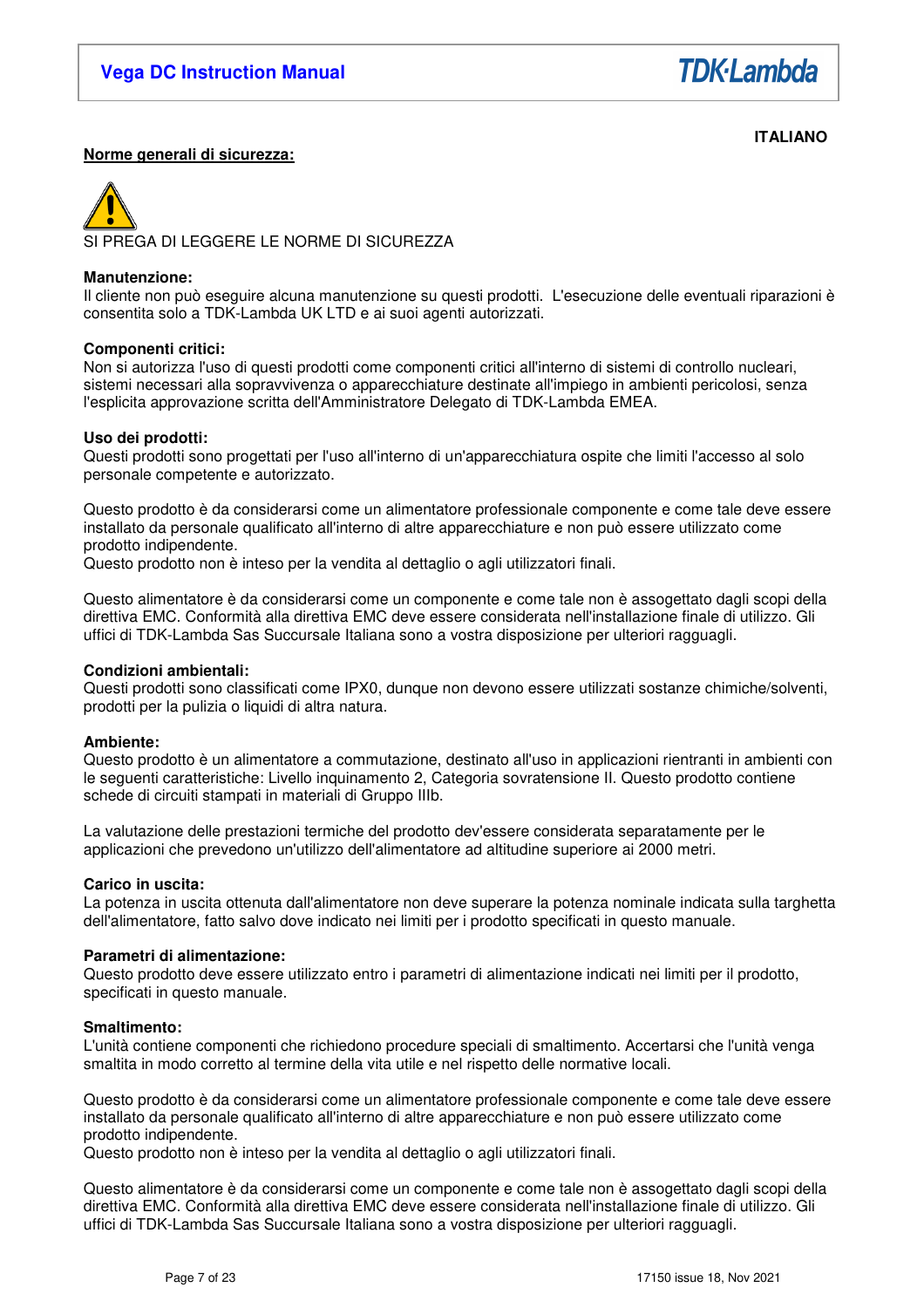

### **ITALIANO Norme generali di sicurezza:**

SI PREGA DI LEGGERE LE NORME DI SICUREZZA

### **Manutenzione:**

Il cliente non può eseguire alcuna manutenzione su questi prodotti. L'esecuzione delle eventuali riparazioni è consentita solo a TDK-Lambda UK LTD e ai suoi agenti autorizzati.

### **Componenti critici:**

Non si autorizza l'uso di questi prodotti come componenti critici all'interno di sistemi di controllo nucleari, sistemi necessari alla sopravvivenza o apparecchiature destinate all'impiego in ambienti pericolosi, senza l'esplicita approvazione scritta dell'Amministratore Delegato di TDK-Lambda EMEA.

### **Uso dei prodotti:**

Questi prodotti sono progettati per l'uso all'interno di un'apparecchiatura ospite che limiti l'accesso al solo personale competente e autorizzato.

Questo prodotto è da considerarsi come un alimentatore professionale componente e come tale deve essere installato da personale qualificato all'interno di altre apparecchiature e non può essere utilizzato come prodotto indipendente.

Questo prodotto non è inteso per la vendita al dettaglio o agli utilizzatori finali.

Questo alimentatore è da considerarsi come un componente e come tale non è assogettato dagli scopi della direttiva EMC. Conformità alla direttiva EMC deve essere considerata nell'installazione finale di utilizzo. Gli uffici di TDK-Lambda Sas Succursale Italiana sono a vostra disposizione per ulteriori ragguagli.

### **Condizioni ambientali:**

Questi prodotti sono classificati come IPX0, dunque non devono essere utilizzati sostanze chimiche/solventi, prodotti per la pulizia o liquidi di altra natura.

### **Ambiente:**

Questo prodotto è un alimentatore a commutazione, destinato all'uso in applicazioni rientranti in ambienti con le seguenti caratteristiche: Livello inquinamento 2, Categoria sovratensione II. Questo prodotto contiene schede di circuiti stampati in materiali di Gruppo IIIb.

La valutazione delle prestazioni termiche del prodotto dev'essere considerata separatamente per le applicazioni che prevedono un'utilizzo dell'alimentatore ad altitudine superiore ai 2000 metri.

### **Carico in uscita:**

La potenza in uscita ottenuta dall'alimentatore non deve superare la potenza nominale indicata sulla targhetta dell'alimentatore, fatto salvo dove indicato nei limiti per i prodotto specificati in questo manuale.

### **Parametri di alimentazione:**

Questo prodotto deve essere utilizzato entro i parametri di alimentazione indicati nei limiti per il prodotto, specificati in questo manuale.

### **Smaltimento:**

L'unità contiene componenti che richiedono procedure speciali di smaltimento. Accertarsi che l'unità venga smaltita in modo corretto al termine della vita utile e nel rispetto delle normative locali.

Questo prodotto è da considerarsi come un alimentatore professionale componente e come tale deve essere installato da personale qualificato all'interno di altre apparecchiature e non può essere utilizzato come prodotto indipendente.

Questo prodotto non è inteso per la vendita al dettaglio o agli utilizzatori finali.

Questo alimentatore è da considerarsi come un componente e come tale non è assogettato dagli scopi della direttiva EMC. Conformità alla direttiva EMC deve essere considerata nell'installazione finale di utilizzo. Gli uffici di TDK-Lambda Sas Succursale Italiana sono a vostra disposizione per ulteriori ragguagli.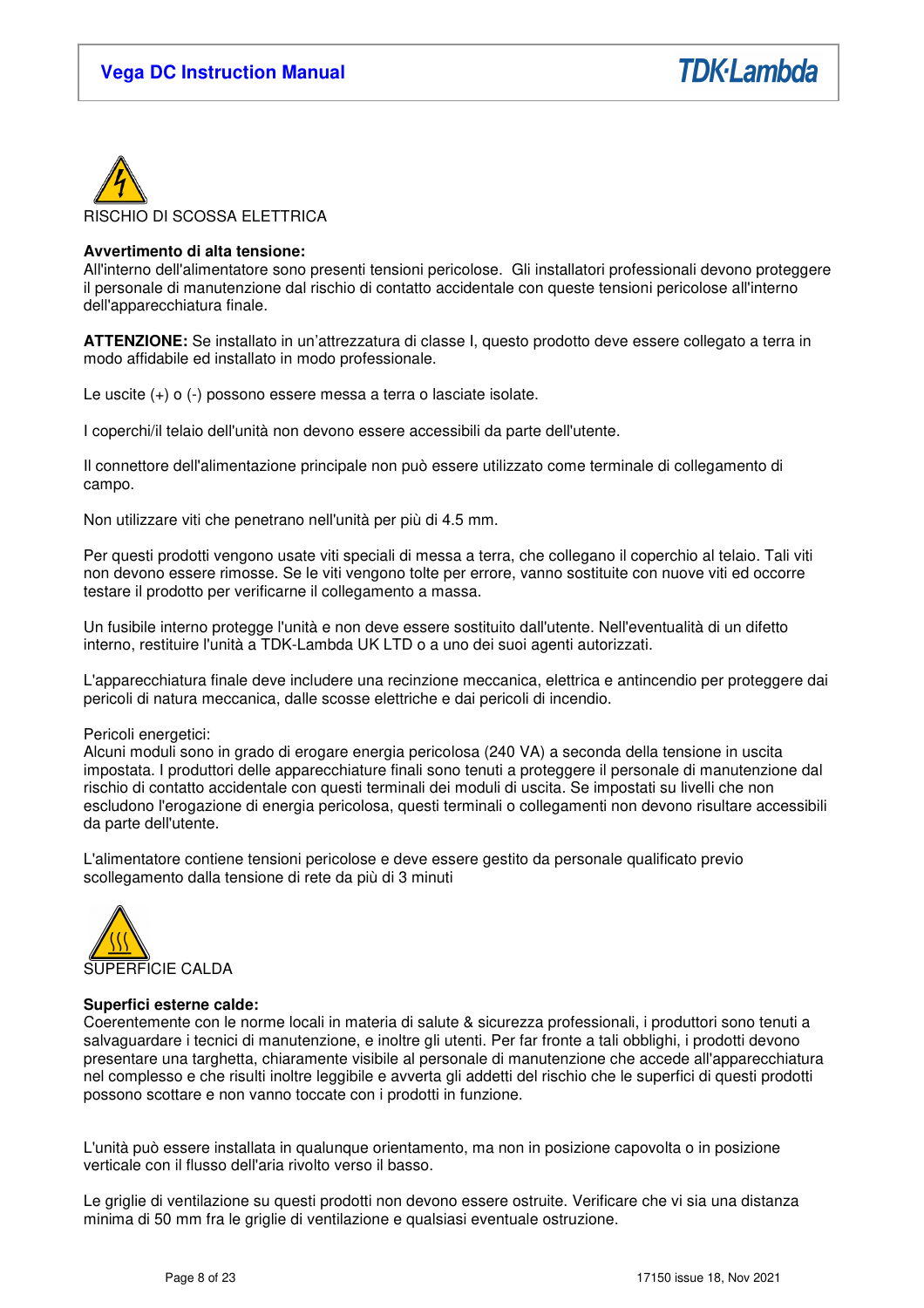



### **Avvertimento di alta tensione:**

All'interno dell'alimentatore sono presenti tensioni pericolose. Gli installatori professionali devono proteggere il personale di manutenzione dal rischio di contatto accidentale con queste tensioni pericolose all'interno dell'apparecchiatura finale.

**ATTENZIONE:** Se installato in un'attrezzatura di classe I, questo prodotto deve essere collegato a terra in modo affidabile ed installato in modo professionale.

Le uscite (+) o (-) possono essere messa a terra o lasciate isolate.

I coperchi/il telaio dell'unità non devono essere accessibili da parte dell'utente.

Il connettore dell'alimentazione principale non può essere utilizzato come terminale di collegamento di campo.

Non utilizzare viti che penetrano nell'unità per più di 4.5 mm.

Per questi prodotti vengono usate viti speciali di messa a terra, che collegano il coperchio al telaio. Tali viti non devono essere rimosse. Se le viti vengono tolte per errore, vanno sostituite con nuove viti ed occorre testare il prodotto per verificarne il collegamento a massa.

Un fusibile interno protegge l'unità e non deve essere sostituito dall'utente. Nell'eventualità di un difetto interno, restituire l'unità a TDK-Lambda UK LTD o a uno dei suoi agenti autorizzati.

L'apparecchiatura finale deve includere una recinzione meccanica, elettrica e antincendio per proteggere dai pericoli di natura meccanica, dalle scosse elettriche e dai pericoli di incendio.

Pericoli energetici:

Alcuni moduli sono in grado di erogare energia pericolosa (240 VA) a seconda della tensione in uscita impostata. I produttori delle apparecchiature finali sono tenuti a proteggere il personale di manutenzione dal rischio di contatto accidentale con questi terminali dei moduli di uscita. Se impostati su livelli che non escludono l'erogazione di energia pericolosa, questi terminali o collegamenti non devono risultare accessibili da parte dell'utente.

L'alimentatore contiene tensioni pericolose e deve essere gestito da personale qualificato previo scollegamento dalla tensione di rete da più di 3 minuti



### **Superfici esterne calde:**

Coerentemente con le norme locali in materia di salute & sicurezza professionali, i produttori sono tenuti a salvaguardare i tecnici di manutenzione, e inoltre gli utenti. Per far fronte a tali obblighi, i prodotti devono presentare una targhetta, chiaramente visibile al personale di manutenzione che accede all'apparecchiatura nel complesso e che risulti inoltre leggibile e avverta gli addetti del rischio che le superfici di questi prodotti possono scottare e non vanno toccate con i prodotti in funzione.

L'unità può essere installata in qualunque orientamento, ma non in posizione capovolta o in posizione verticale con il flusso dell'aria rivolto verso il basso.

Le griglie di ventilazione su questi prodotti non devono essere ostruite. Verificare che vi sia una distanza minima di 50 mm fra le griglie di ventilazione e qualsiasi eventuale ostruzione.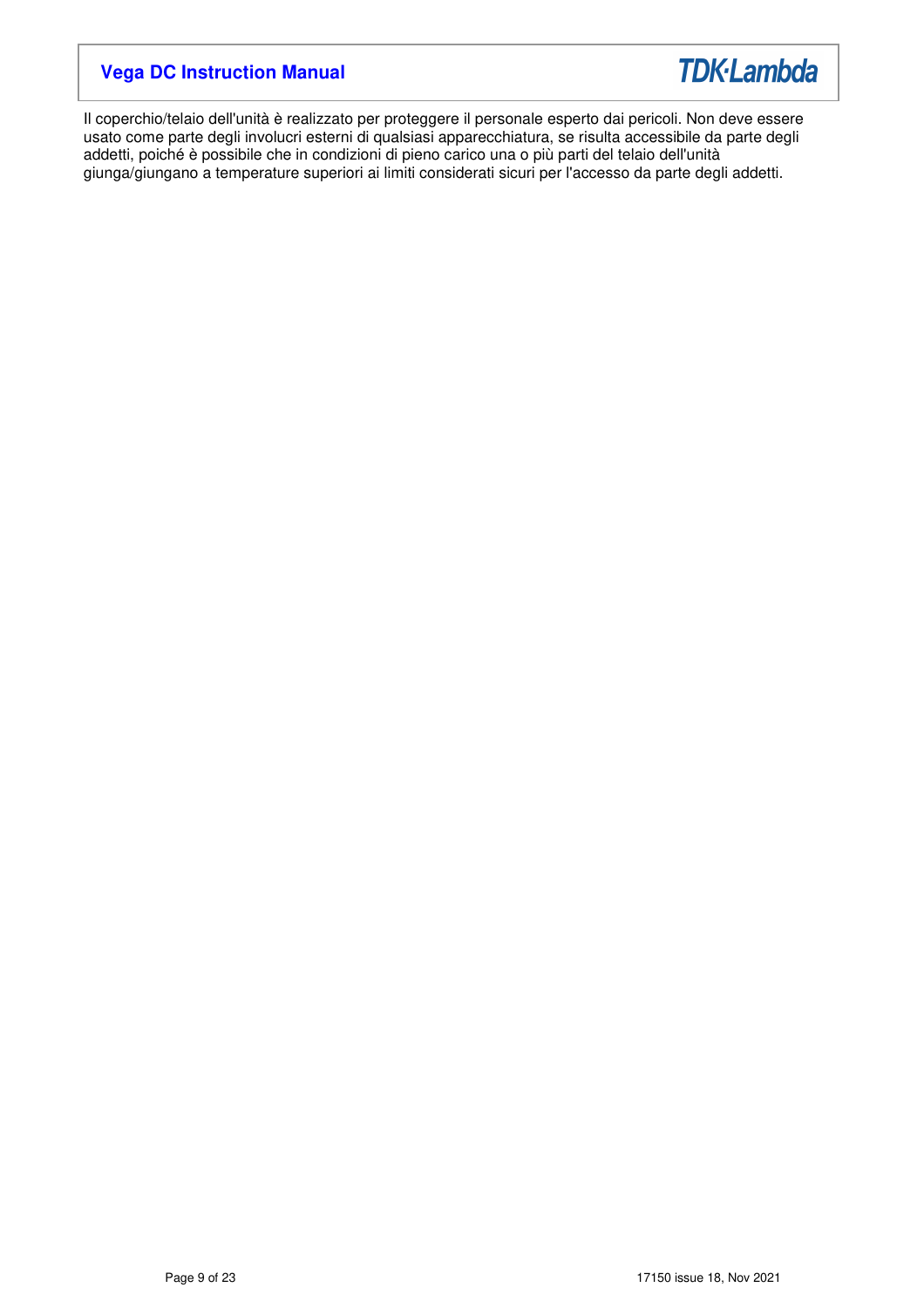

Il coperchio/telaio dell'unità è realizzato per proteggere il personale esperto dai pericoli. Non deve essere usato come parte degli involucri esterni di qualsiasi apparecchiatura, se risulta accessibile da parte degli addetti, poiché è possibile che in condizioni di pieno carico una o più parti del telaio dell'unità giunga/giungano a temperature superiori ai limiti considerati sicuri per l'accesso da parte degli addetti.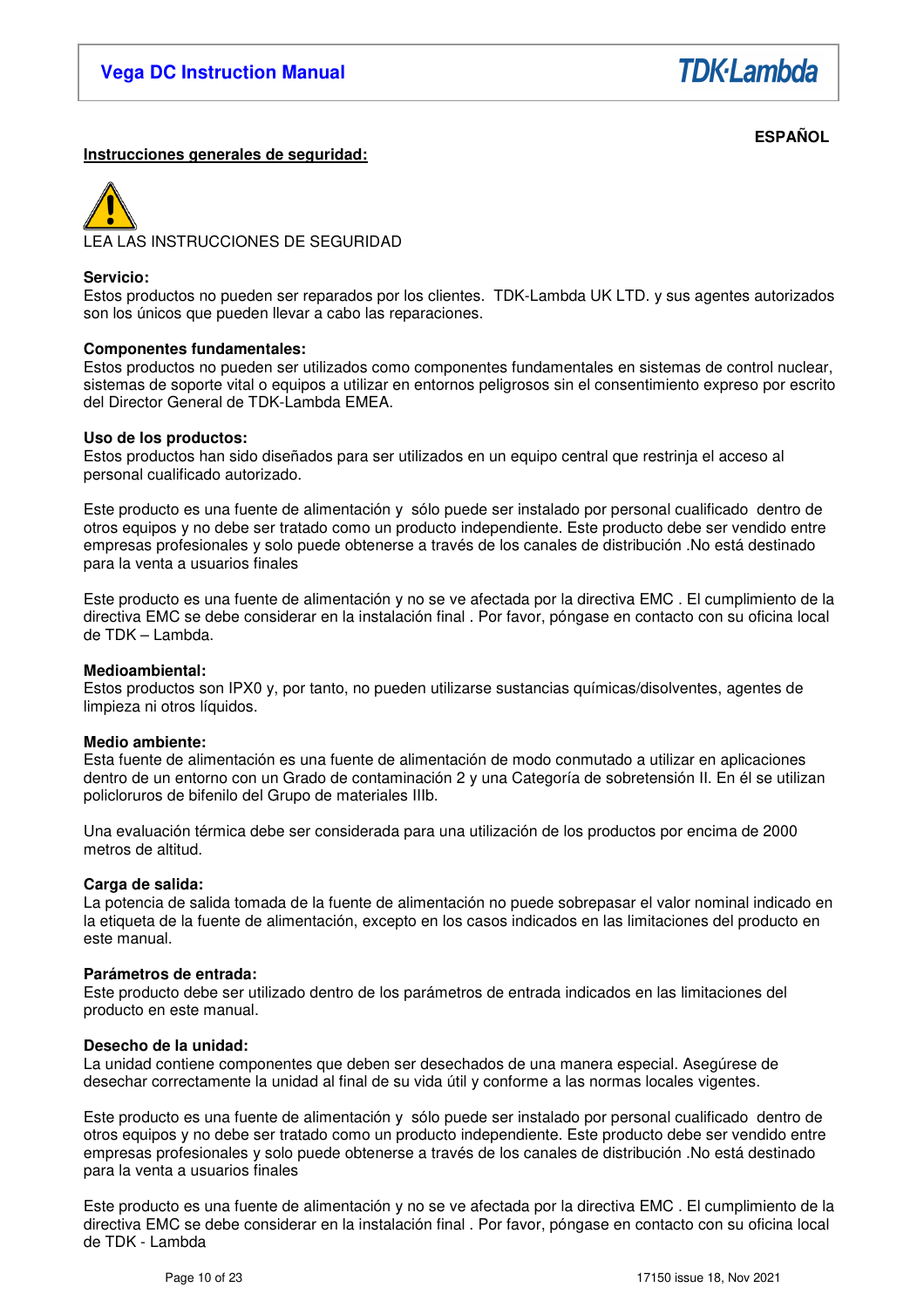**TDK-Lambda** 

#### **ESPAÑOL Instrucciones generales de seguridad:**

LEA LAS INSTRUCCIONES DE SEGURIDAD

### **Servicio:**

Estos productos no pueden ser reparados por los clientes. TDK-Lambda UK LTD. y sus agentes autorizados son los únicos que pueden llevar a cabo las reparaciones.

### **Componentes fundamentales:**

Estos productos no pueden ser utilizados como componentes fundamentales en sistemas de control nuclear, sistemas de soporte vital o equipos a utilizar en entornos peligrosos sin el consentimiento expreso por escrito del Director General de TDK-Lambda EMEA.

### **Uso de los productos:**

Estos productos han sido diseñados para ser utilizados en un equipo central que restrinja el acceso al personal cualificado autorizado.

Este producto es una fuente de alimentación y sólo puede ser instalado por personal cualificado dentro de otros equipos y no debe ser tratado como un producto independiente. Este producto debe ser vendido entre empresas profesionales y solo puede obtenerse a través de los canales de distribución .No está destinado para la venta a usuarios finales

Este producto es una fuente de alimentación y no se ve afectada por la directiva EMC . El cumplimiento de la directiva EMC se debe considerar en la instalación final . Por favor, póngase en contacto con su oficina local de TDK – Lambda.

### **Medioambiental:**

Estos productos son IPX0 y, por tanto, no pueden utilizarse sustancias químicas/disolventes, agentes de limpieza ni otros líquidos.

### **Medio ambiente:**

Esta fuente de alimentación es una fuente de alimentación de modo conmutado a utilizar en aplicaciones dentro de un entorno con un Grado de contaminación 2 y una Categoría de sobretensión II. En él se utilizan policloruros de bifenilo del Grupo de materiales IIIb.

Una evaluación térmica debe ser considerada para una utilización de los productos por encima de 2000 metros de altitud.

### **Carga de salida:**

La potencia de salida tomada de la fuente de alimentación no puede sobrepasar el valor nominal indicado en la etiqueta de la fuente de alimentación, excepto en los casos indicados en las limitaciones del producto en este manual.

### **Parámetros de entrada:**

Este producto debe ser utilizado dentro de los parámetros de entrada indicados en las limitaciones del producto en este manual.

### **Desecho de la unidad:**

La unidad contiene componentes que deben ser desechados de una manera especial. Asegúrese de desechar correctamente la unidad al final de su vida útil y conforme a las normas locales vigentes.

Este producto es una fuente de alimentación y sólo puede ser instalado por personal cualificado dentro de otros equipos y no debe ser tratado como un producto independiente. Este producto debe ser vendido entre empresas profesionales y solo puede obtenerse a través de los canales de distribución .No está destinado para la venta a usuarios finales

Este producto es una fuente de alimentación y no se ve afectada por la directiva EMC . El cumplimiento de la directiva EMC se debe considerar en la instalación final . Por favor, póngase en contacto con su oficina local de TDK - Lambda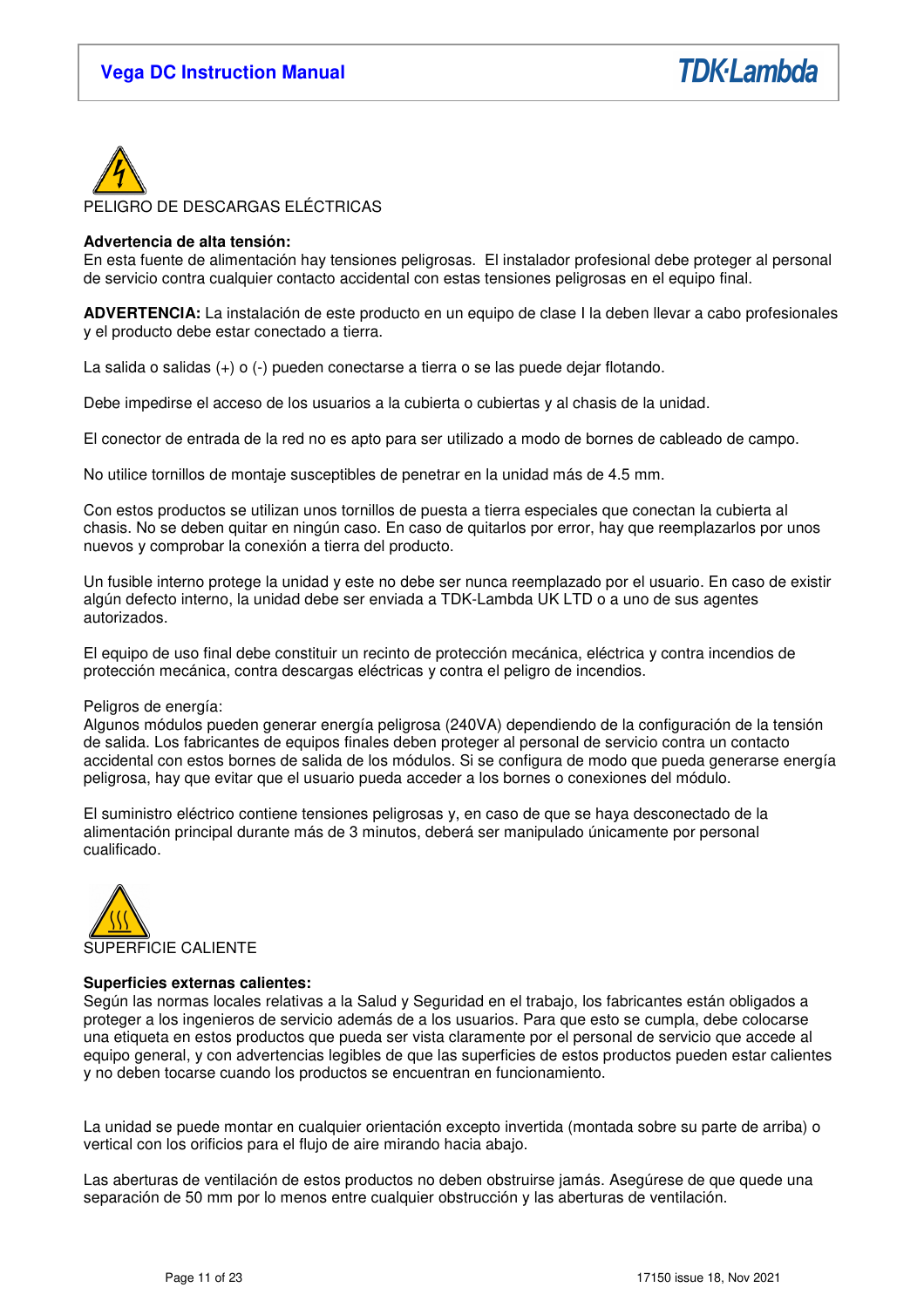

### **Advertencia de alta tensión:**

En esta fuente de alimentación hay tensiones peligrosas. El instalador profesional debe proteger al personal de servicio contra cualquier contacto accidental con estas tensiones peligrosas en el equipo final.

**ADVERTENCIA:** La instalación de este producto en un equipo de clase I la deben llevar a cabo profesionales y el producto debe estar conectado a tierra.

La salida o salidas (+) o (-) pueden conectarse a tierra o se las puede dejar flotando.

Debe impedirse el acceso de los usuarios a la cubierta o cubiertas y al chasis de la unidad.

El conector de entrada de la red no es apto para ser utilizado a modo de bornes de cableado de campo.

No utilice tornillos de montaje susceptibles de penetrar en la unidad más de 4.5 mm.

Con estos productos se utilizan unos tornillos de puesta a tierra especiales que conectan la cubierta al chasis. No se deben quitar en ningún caso. En caso de quitarlos por error, hay que reemplazarlos por unos nuevos y comprobar la conexión a tierra del producto.

Un fusible interno protege la unidad y este no debe ser nunca reemplazado por el usuario. En caso de existir algún defecto interno, la unidad debe ser enviada a TDK-Lambda UK LTD o a uno de sus agentes autorizados.

El equipo de uso final debe constituir un recinto de protección mecánica, eléctrica y contra incendios de protección mecánica, contra descargas eléctricas y contra el peligro de incendios.

### Peligros de energía:

Algunos módulos pueden generar energía peligrosa (240VA) dependiendo de la configuración de la tensión de salida. Los fabricantes de equipos finales deben proteger al personal de servicio contra un contacto accidental con estos bornes de salida de los módulos. Si se configura de modo que pueda generarse energía peligrosa, hay que evitar que el usuario pueda acceder a los bornes o conexiones del módulo.

El suministro eléctrico contiene tensiones peligrosas y, en caso de que se haya desconectado de la alimentación principal durante más de 3 minutos, deberá ser manipulado únicamente por personal cualificado.



### **Superficies externas calientes:**

Según las normas locales relativas a la Salud y Seguridad en el trabajo, los fabricantes están obligados a proteger a los ingenieros de servicio además de a los usuarios. Para que esto se cumpla, debe colocarse una etiqueta en estos productos que pueda ser vista claramente por el personal de servicio que accede al equipo general, y con advertencias legibles de que las superficies de estos productos pueden estar calientes y no deben tocarse cuando los productos se encuentran en funcionamiento.

La unidad se puede montar en cualquier orientación excepto invertida (montada sobre su parte de arriba) o vertical con los orificios para el flujo de aire mirando hacia abajo.

Las aberturas de ventilación de estos productos no deben obstruirse jamás. Asegúrese de que quede una separación de 50 mm por lo menos entre cualquier obstrucción y las aberturas de ventilación.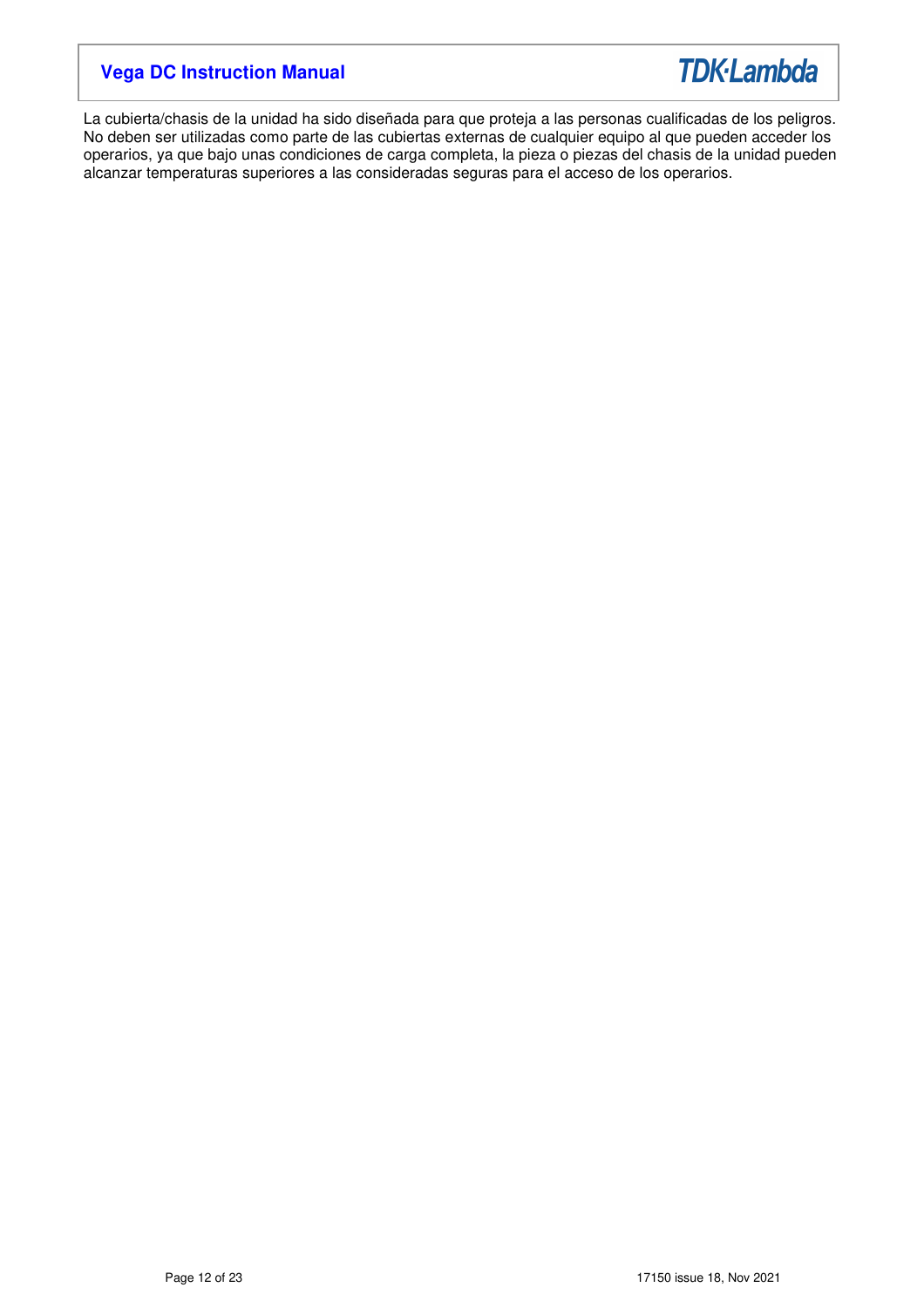

La cubierta/chasis de la unidad ha sido diseñada para que proteja a las personas cualificadas de los peligros. No deben ser utilizadas como parte de las cubiertas externas de cualquier equipo al que pueden acceder los operarios, ya que bajo unas condiciones de carga completa, la pieza o piezas del chasis de la unidad pueden alcanzar temperaturas superiores a las consideradas seguras para el acceso de los operarios.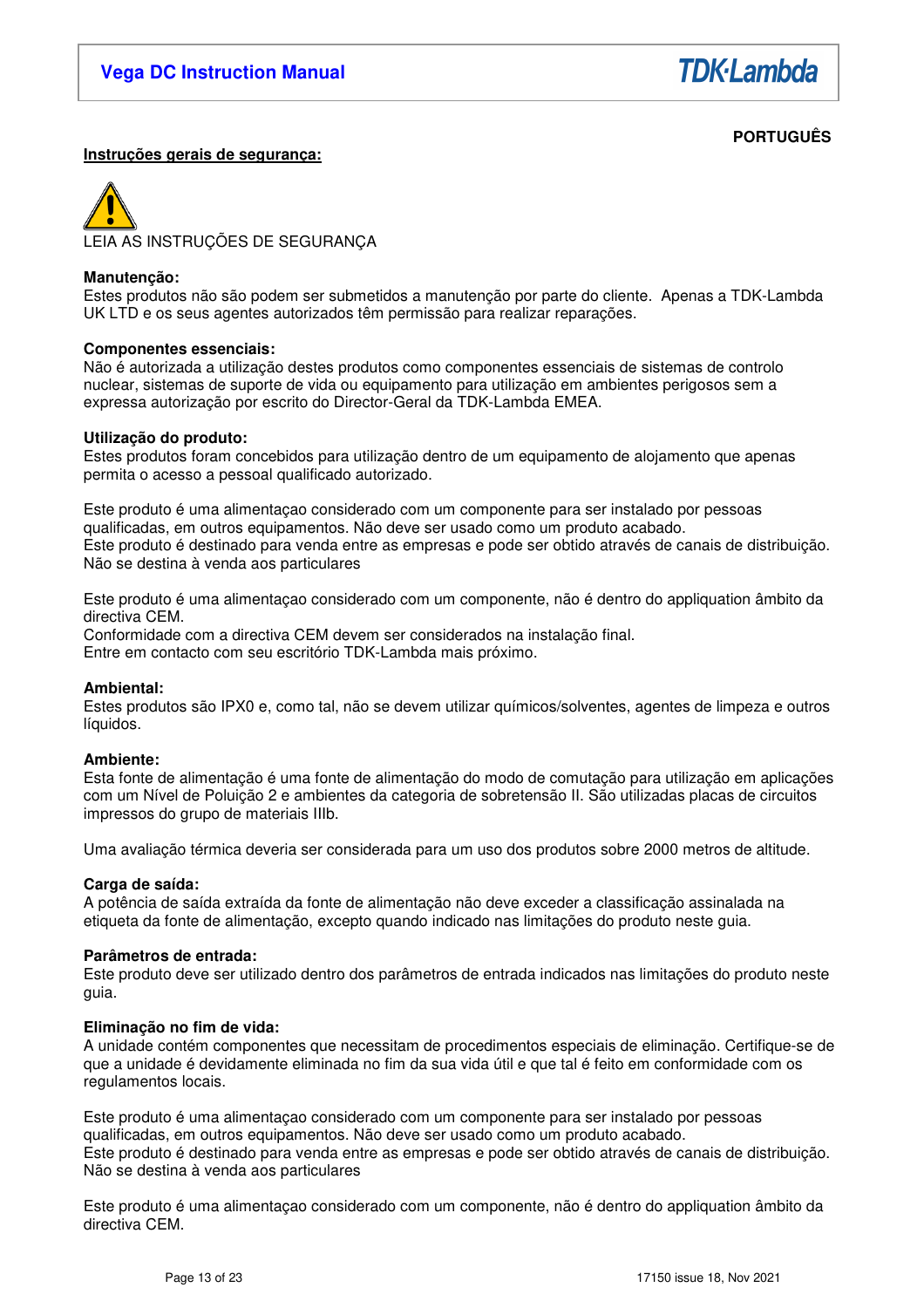

# **PORTUGUÊS**

# **Instruções gerais de segurança:**

LEIA AS INSTRUÇÕES DE SEGURANÇA

### **Manutenção:**

Estes produtos não são podem ser submetidos a manutenção por parte do cliente. Apenas a TDK-Lambda UK LTD e os seus agentes autorizados têm permissão para realizar reparações.

### **Componentes essenciais:**

Não é autorizada a utilização destes produtos como componentes essenciais de sistemas de controlo nuclear, sistemas de suporte de vida ou equipamento para utilização em ambientes perigosos sem a expressa autorização por escrito do Director-Geral da TDK-Lambda EMEA.

### **Utilização do produto:**

Estes produtos foram concebidos para utilização dentro de um equipamento de alojamento que apenas permita o acesso a pessoal qualificado autorizado.

Este produto é uma alimentaçao considerado com um componente para ser instalado por pessoas qualificadas, em outros equipamentos. Não deve ser usado como um produto acabado. Este produto é destinado para venda entre as empresas e pode ser obtido através de canais de distribuição. Não se destina à venda aos particulares

Este produto é uma alimentaçao considerado com um componente, não é dentro do appliquation âmbito da directiva CEM.

Conformidade com a directiva CEM devem ser considerados na instalação final. Entre em contacto com seu escritório TDK-Lambda mais próximo.

### **Ambiental:**

Estes produtos são IPX0 e, como tal, não se devem utilizar químicos/solventes, agentes de limpeza e outros líquidos.

### **Ambiente:**

Esta fonte de alimentação é uma fonte de alimentação do modo de comutação para utilização em aplicações com um Nível de Poluição 2 e ambientes da categoria de sobretensão II. São utilizadas placas de circuitos impressos do grupo de materiais IIIb.

Uma avaliação térmica deveria ser considerada para um uso dos produtos sobre 2000 metros de altitude.

### **Carga de saída:**

A potência de saída extraída da fonte de alimentação não deve exceder a classificação assinalada na etiqueta da fonte de alimentação, excepto quando indicado nas limitações do produto neste guia.

### **Parâmetros de entrada:**

Este produto deve ser utilizado dentro dos parâmetros de entrada indicados nas limitações do produto neste guia.

### **Eliminação no fim de vida:**

A unidade contém componentes que necessitam de procedimentos especiais de eliminação. Certifique-se de que a unidade é devidamente eliminada no fim da sua vida útil e que tal é feito em conformidade com os regulamentos locais.

Este produto é uma alimentaçao considerado com um componente para ser instalado por pessoas qualificadas, em outros equipamentos. Não deve ser usado como um produto acabado. Este produto é destinado para venda entre as empresas e pode ser obtido através de canais de distribuição. Não se destina à venda aos particulares

Este produto é uma alimentaçao considerado com um componente, não é dentro do appliquation âmbito da directiva CEM.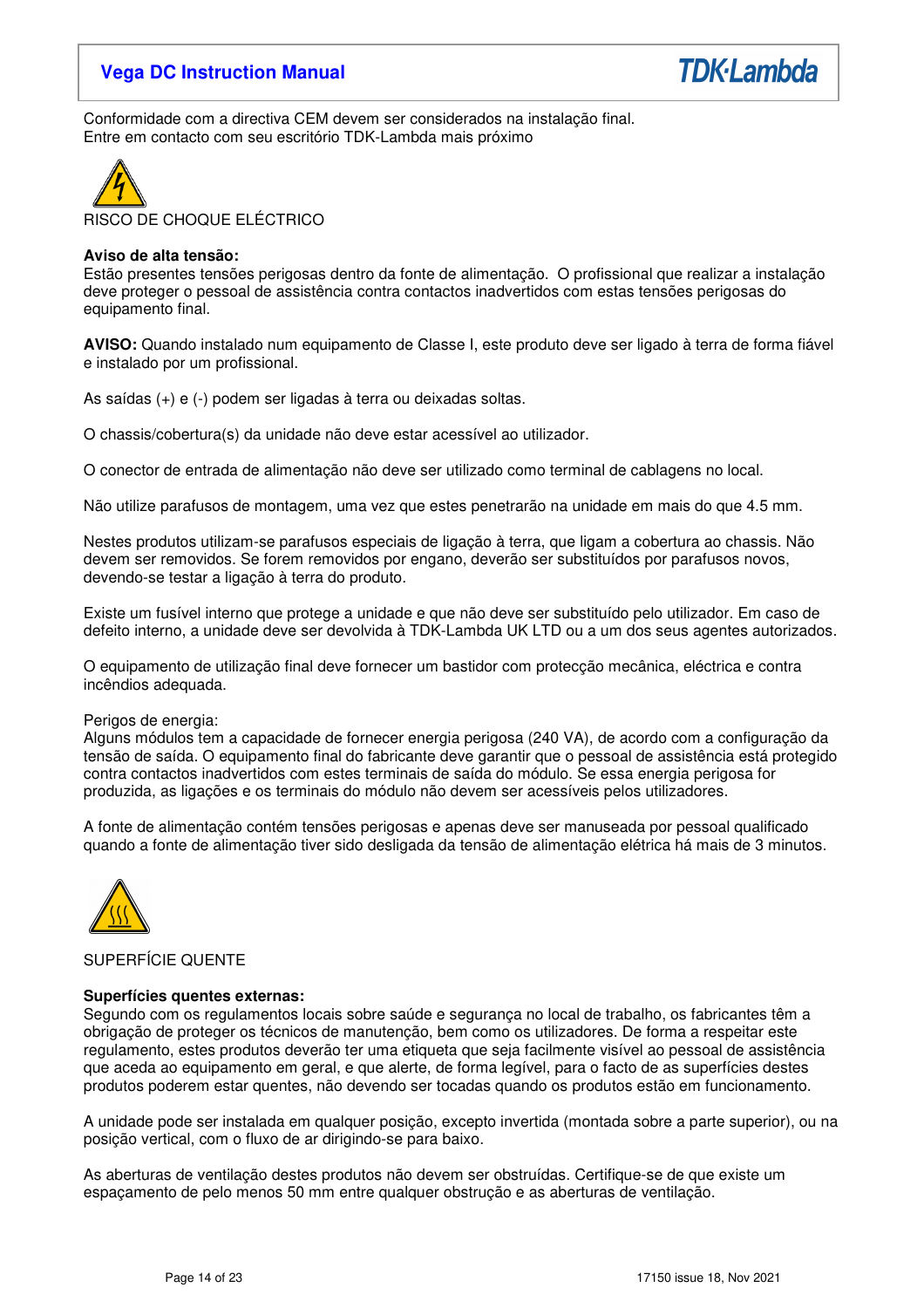

Conformidade com a directiva CEM devem ser considerados na instalação final. Entre em contacto com seu escritório TDK-Lambda mais próximo



# RISCO DE CHOQUE ELÉCTRICO

# **Aviso de alta tensão:**

Estão presentes tensões perigosas dentro da fonte de alimentação. O profissional que realizar a instalação deve proteger o pessoal de assistência contra contactos inadvertidos com estas tensões perigosas do equipamento final.

**AVISO:** Quando instalado num equipamento de Classe I, este produto deve ser ligado à terra de forma fiável e instalado por um profissional.

As saídas (+) e (-) podem ser ligadas à terra ou deixadas soltas.

O chassis/cobertura(s) da unidade não deve estar acessível ao utilizador.

O conector de entrada de alimentação não deve ser utilizado como terminal de cablagens no local.

Não utilize parafusos de montagem, uma vez que estes penetrarão na unidade em mais do que 4.5 mm.

Nestes produtos utilizam-se parafusos especiais de ligação à terra, que ligam a cobertura ao chassis. Não devem ser removidos. Se forem removidos por engano, deverão ser substituídos por parafusos novos, devendo-se testar a ligação à terra do produto.

Existe um fusível interno que protege a unidade e que não deve ser substituído pelo utilizador. Em caso de defeito interno, a unidade deve ser devolvida à TDK-Lambda UK LTD ou a um dos seus agentes autorizados.

O equipamento de utilização final deve fornecer um bastidor com protecção mecânica, eléctrica e contra incêndios adequada.

### Perigos de energia:

Alguns módulos tem a capacidade de fornecer energia perigosa (240 VA), de acordo com a configuração da tensão de saída. O equipamento final do fabricante deve garantir que o pessoal de assistência está protegido contra contactos inadvertidos com estes terminais de saída do módulo. Se essa energia perigosa for produzida, as ligações e os terminais do módulo não devem ser acessíveis pelos utilizadores.

A fonte de alimentação contém tensões perigosas e apenas deve ser manuseada por pessoal qualificado quando a fonte de alimentação tiver sido desligada da tensão de alimentação elétrica há mais de 3 minutos.



# SUPERFÍCIE QUENTE

### **Superfícies quentes externas:**

Segundo com os regulamentos locais sobre saúde e segurança no local de trabalho, os fabricantes têm a obrigação de proteger os técnicos de manutenção, bem como os utilizadores. De forma a respeitar este regulamento, estes produtos deverão ter uma etiqueta que seja facilmente visível ao pessoal de assistência que aceda ao equipamento em geral, e que alerte, de forma legível, para o facto de as superfícies destes produtos poderem estar quentes, não devendo ser tocadas quando os produtos estão em funcionamento.

A unidade pode ser instalada em qualquer posição, excepto invertida (montada sobre a parte superior), ou na posição vertical, com o fluxo de ar dirigindo-se para baixo.

As aberturas de ventilação destes produtos não devem ser obstruídas. Certifique-se de que existe um espaçamento de pelo menos 50 mm entre qualquer obstrução e as aberturas de ventilação.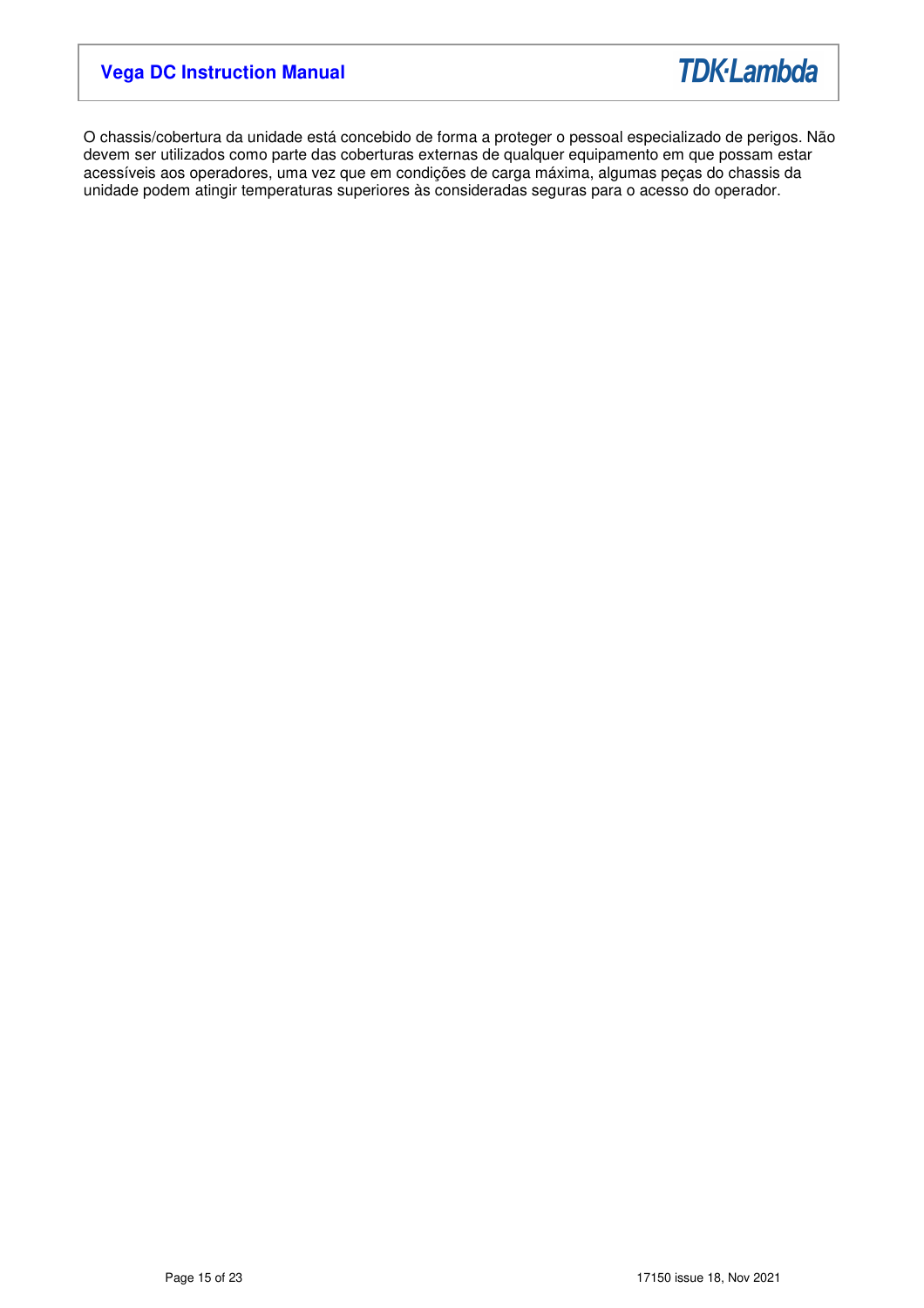

O chassis/cobertura da unidade está concebido de forma a proteger o pessoal especializado de perigos. Não devem ser utilizados como parte das coberturas externas de qualquer equipamento em que possam estar acessíveis aos operadores, uma vez que em condições de carga máxima, algumas peças do chassis da unidade podem atingir temperaturas superiores às consideradas seguras para o acesso do operador.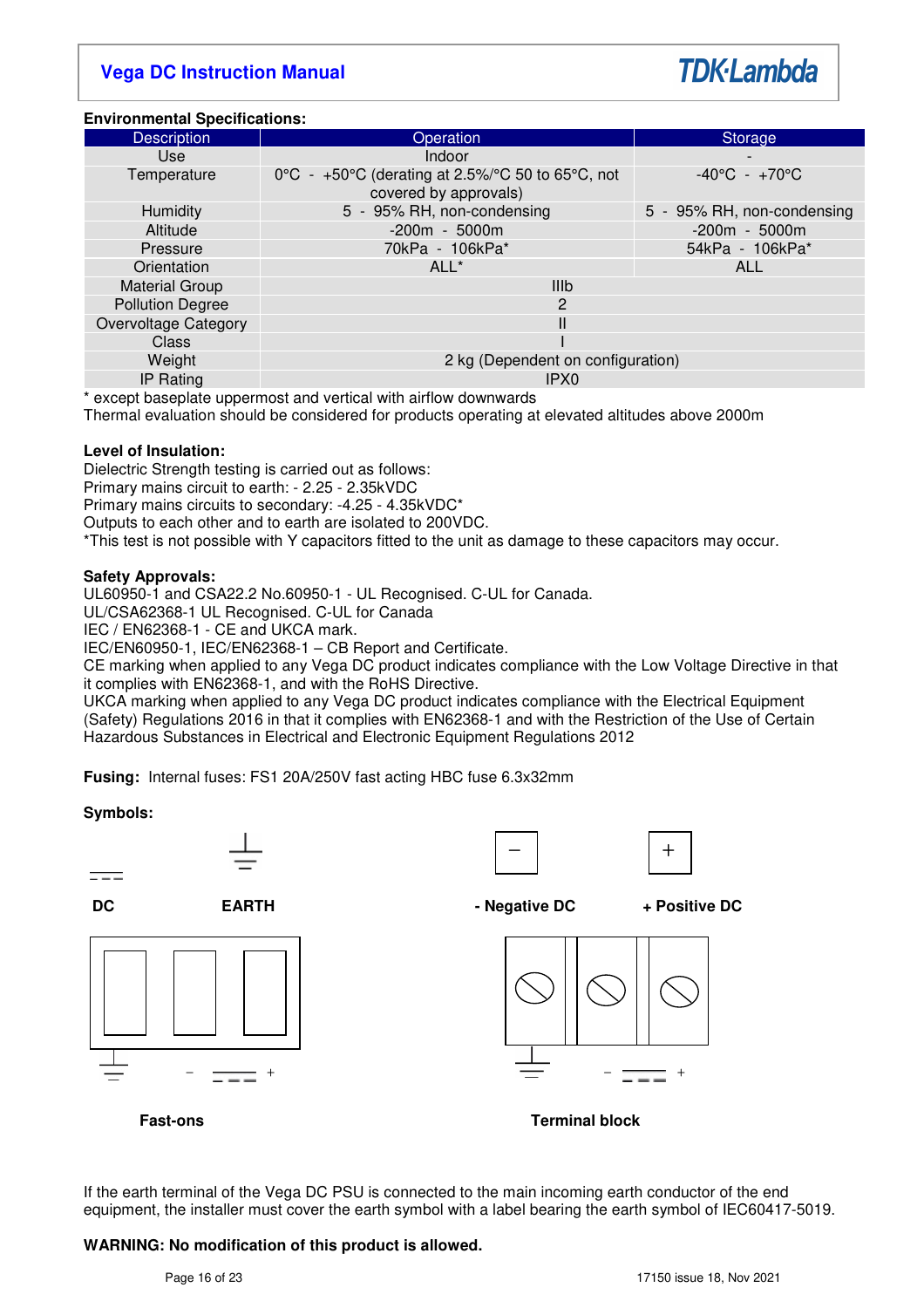# **TDK**·Lambda

## **Environmental Specifications:**

| <b>Description</b>      | Operation                                                                                                             | Storage                           |  |  |  |
|-------------------------|-----------------------------------------------------------------------------------------------------------------------|-----------------------------------|--|--|--|
| <b>Use</b>              | Indoor                                                                                                                |                                   |  |  |  |
| Temperature             | 0 $^{\circ}$ C - +50 $^{\circ}$ C (derating at 2.5%/ $^{\circ}$ C 50 to 65 $^{\circ}$ C, not<br>covered by approvals) | $-40^{\circ}$ C - $+70^{\circ}$ C |  |  |  |
| Humidity                | 5 - 95% RH, non-condensing                                                                                            | 5 - 95% RH, non-condensing        |  |  |  |
| Altitude                | $-200m - 5000m$                                                                                                       | $-200m - 5000m$                   |  |  |  |
| Pressure                | 70kPa - 106kPa*                                                                                                       | 54kPa - 106kPa*                   |  |  |  |
| Orientation             | ALL <sup>*</sup>                                                                                                      | <b>ALL</b>                        |  |  |  |
| <b>Material Group</b>   | <b>IIIb</b>                                                                                                           |                                   |  |  |  |
| <b>Pollution Degree</b> | 2                                                                                                                     |                                   |  |  |  |
| Overvoltage Category    |                                                                                                                       |                                   |  |  |  |
| Class                   |                                                                                                                       |                                   |  |  |  |
| Weight                  | 2 kg (Dependent on configuration)                                                                                     |                                   |  |  |  |
| <b>IP Rating</b>        | IPX <sub>0</sub>                                                                                                      |                                   |  |  |  |

\* except baseplate uppermost and vertical with airflow downwards

Thermal evaluation should be considered for products operating at elevated altitudes above 2000m

### **Level of Insulation:**

Dielectric Strength testing is carried out as follows:

Primary mains circuit to earth: - 2.25 - 2.35kVDC

Primary mains circuits to secondary: -4.25 - 4.35kVDC\*

Outputs to each other and to earth are isolated to 200VDC.

\*This test is not possible with Y capacitors fitted to the unit as damage to these capacitors may occur.

# **Safety Approvals:**

UL60950-1 and CSA22.2 No.60950-1 - UL Recognised. C-UL for Canada.

UL/CSA62368-1 UL Recognised. C-UL for Canada

IEC / EN62368-1 - CE and UKCA mark.

IEC/EN60950-1, IEC/EN62368-1 – CB Report and Certificate.

CE marking when applied to any Vega DC product indicates compliance with the Low Voltage Directive in that it complies with EN62368-1, and with the RoHS Directive.

UKCA marking when applied to any Vega DC product indicates compliance with the Electrical Equipment (Safety) Regulations 2016 in that it complies with EN62368-1 and with the Restriction of the Use of Certain Hazardous Substances in Electrical and Electronic Equipment Regulations 2012

**Fusing:** Internal fuses: FS1 20A/250V fast acting HBC fuse 6.3x32mm

# **Symbols:**











**DC EARTH EARTH - Negative DC** + Positive DC



**Fast-ons Terminal block** 

If the earth terminal of the Vega DC PSU is connected to the main incoming earth conductor of the end equipment, the installer must cover the earth symbol with a label bearing the earth symbol of IEC60417-5019.

# **WARNING: No modification of this product is allowed.**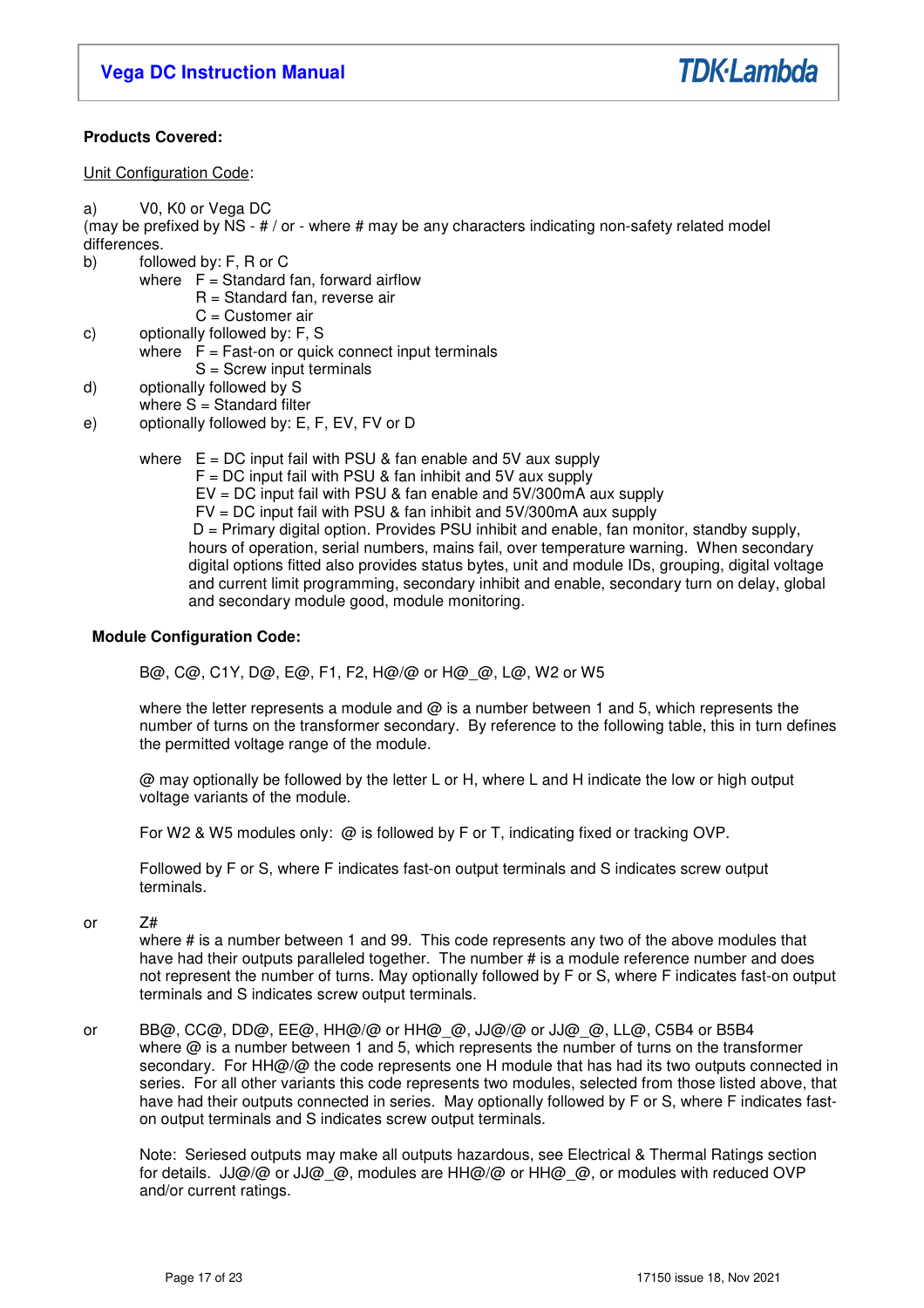

# **Products Covered:**

Unit Configuration Code:

a) V0, K0 or Vega DC

(may be prefixed by  $NS - # / or -$  where  $#$  may be any characters indicating non-safety related model differences.

b) followed by: F, R or C

- where  $F =$  Standard fan, forward airflow
	- R = Standard fan, reverse air
	- C = Customer air
- c) optionally followed by: F, S
- where  $\overline{F}$  = Fast-on or quick connect input terminals S = Screw input terminals
- d) optionally followed by S
- where  $S =$  Standard filter
- e) optionally followed by: E, F, EV, FV or D

where  $E = DC$  input fail with PSU & fan enable and 5V aux supply

- $F = DC$  input fail with PSU & fan inhibit and 5V aux supply
	- EV = DC input fail with PSU & fan enable and 5V/300mA aux supply
	- FV = DC input fail with PSU & fan inhibit and 5V/300mA aux supply

 D = Primary digital option. Provides PSU inhibit and enable, fan monitor, standby supply, hours of operation, serial numbers, mains fail, over temperature warning. When secondary digital options fitted also provides status bytes, unit and module IDs, grouping, digital voltage and current limit programming, secondary inhibit and enable, secondary turn on delay, global and secondary module good, module monitoring.

# **Module Configuration Code:**

B@, C@, C1Y, D@, E@, F1, F2, H@/@ or H@\_@, L@, W2 or W5

where the letter represents a module and  $\omega$  is a number between 1 and 5, which represents the number of turns on the transformer secondary. By reference to the following table, this in turn defines the permitted voltage range of the module.

@ may optionally be followed by the letter L or H, where L and H indicate the low or high output voltage variants of the module.

For W2 & W5 modules only: @ is followed by F or T, indicating fixed or tracking OVP.

Followed by F or S, where F indicates fast-on output terminals and S indicates screw output terminals.

or Z#

 where # is a number between 1 and 99. This code represents any two of the above modules that have had their outputs paralleled together. The number # is a module reference number and does not represent the number of turns. May optionally followed by F or S, where F indicates fast-on output terminals and S indicates screw output terminals.

or BB@, CC@, DD@, EE@, HH@/@ or HH@\_@, JJ@/@ or JJ@\_@, LL@, C5B4 or B5B4 where  $@$  is a number between 1 and 5, which represents the number of turns on the transformer secondary. For HH@/@ the code represents one H module that has had its two outputs connected in series. For all other variants this code represents two modules, selected from those listed above, that have had their outputs connected in series. May optionally followed by F or S, where F indicates faston output terminals and S indicates screw output terminals.

Note: Seriesed outputs may make all outputs hazardous, see Electrical & Thermal Ratings section for details.  $JJ@/@$  or  $JJ@Q$ , modules are HH $@/@$  or HH $@Q$ , or modules with reduced OVP and/or current ratings.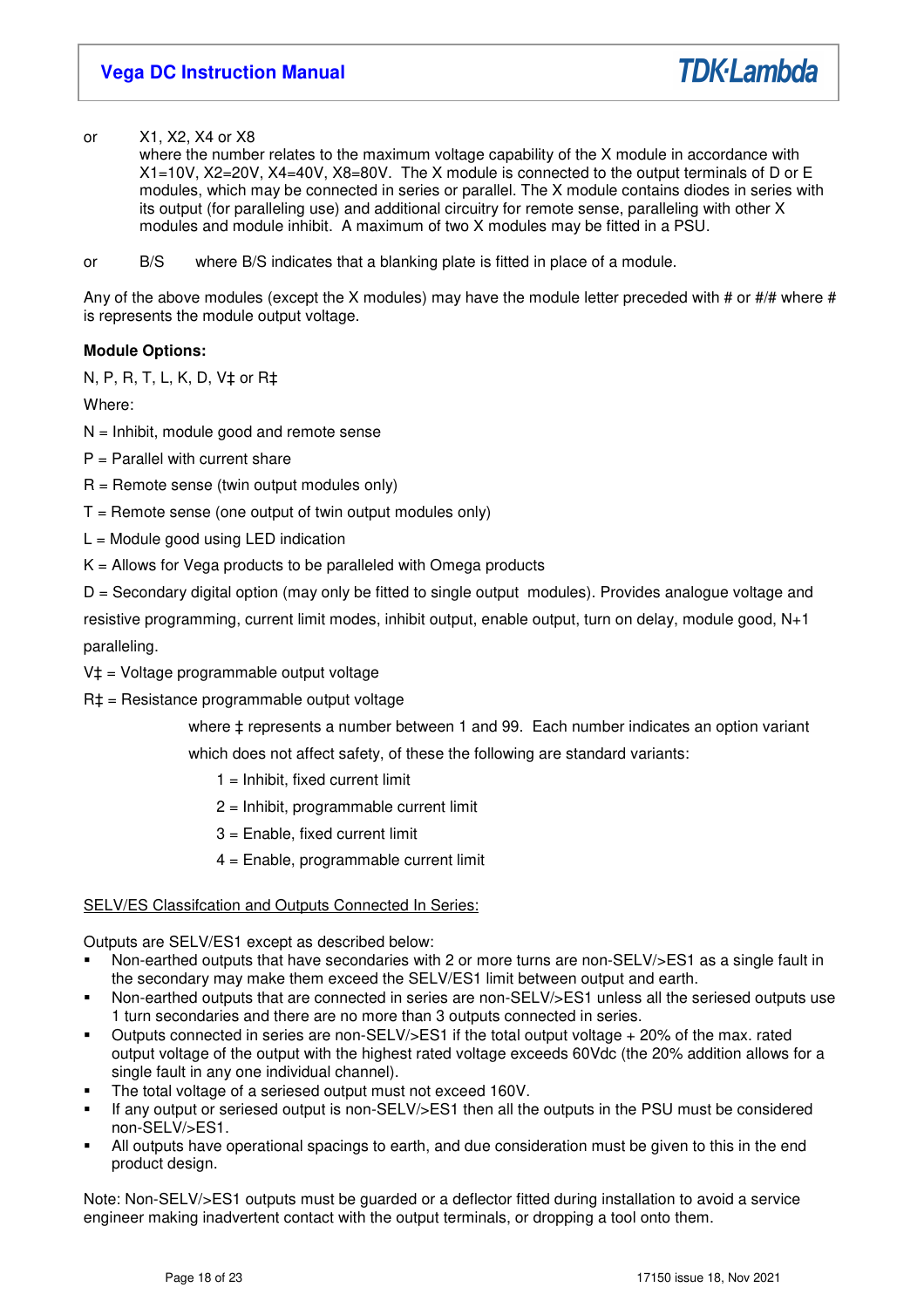or X1, X2, X4 or X8

 where the number relates to the maximum voltage capability of the X module in accordance with X1=10V, X2=20V, X4=40V, X8=80V. The X module is connected to the output terminals of D or E modules, which may be connected in series or parallel. The X module contains diodes in series with its output (for paralleling use) and additional circuitry for remote sense, paralleling with other X modules and module inhibit. A maximum of two X modules may be fitted in a PSU.

or B/S where B/S indicates that a blanking plate is fitted in place of a module.

Any of the above modules (except the X modules) may have the module letter preceded with # or #/# where # is represents the module output voltage.

# **Module Options:**

N, P, R, T, L, K, D, V‡ or R‡

Where:

- $N =$  Inhibit, module good and remote sense
- $P =$  Parallel with current share
- $R =$  Remote sense (twin output modules only)
- $T =$  Remote sense (one output of twin output modules only)
- $L =$  Module good using LED indication
- $K =$  Allows for Vega products to be paralleled with Omega products

D = Secondary digital option (may only be fitted to single output modules). Provides analogue voltage and resistive programming, current limit modes, inhibit output, enable output, turn on delay, module good, N+1 paralleling.

- V‡ = Voltage programmable output voltage
- R‡ = Resistance programmable output voltage

where  $±$  represents a number between 1 and 99. Each number indicates an option variant which does not affect safety, of these the following are standard variants:

- $1 =$  Inhibit, fixed current limit
- 2 = Inhibit, programmable current limit
- 3 = Enable, fixed current limit
- 4 = Enable, programmable current limit

# SELV/ES Classifcation and Outputs Connected In Series:

Outputs are SELV/ES1 except as described below:

- Non-earthed outputs that have secondaries with 2 or more turns are non-SELV/>ES1 as a single fault in the secondary may make them exceed the SELV/ES1 limit between output and earth.
- Non-earthed outputs that are connected in series are non-SELV/>ES1 unless all the seriesed outputs use 1 turn secondaries and there are no more than 3 outputs connected in series.
- Outputs connected in series are non-SELV/>ES1 if the total output voltage + 20% of the max. rated output voltage of the output with the highest rated voltage exceeds 60Vdc (the 20% addition allows for a single fault in any one individual channel).
- The total voltage of a seriesed output must not exceed 160V.
- If any output or seriesed output is non-SELV/>ES1 then all the outputs in the PSU must be considered non-SELV/>ES1.
- All outputs have operational spacings to earth, and due consideration must be given to this in the end product design.

Note: Non-SELV/>ES1 outputs must be guarded or a deflector fitted during installation to avoid a service engineer making inadvertent contact with the output terminals, or dropping a tool onto them.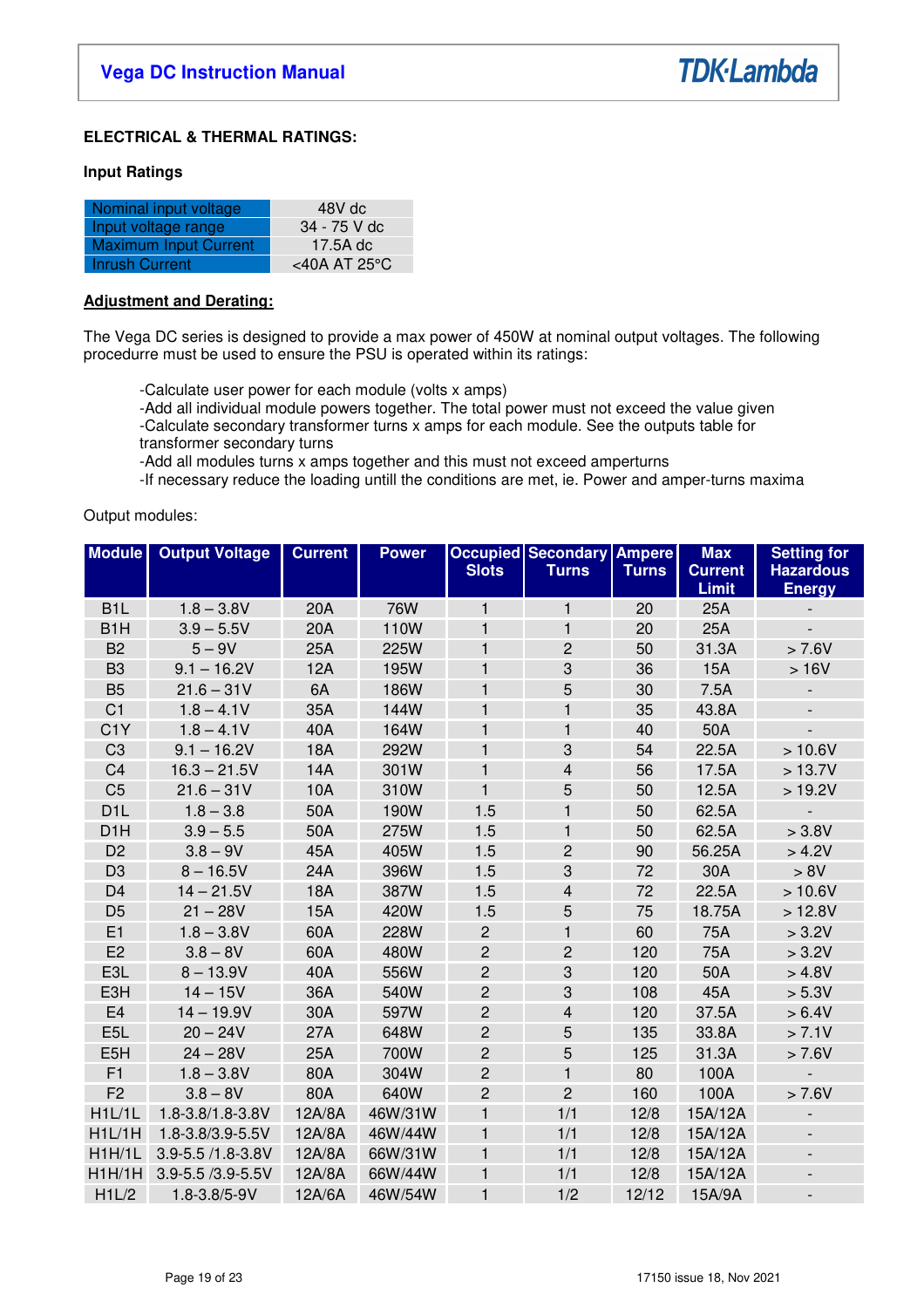

# **ELECTRICAL & THERMAL RATINGS:**

### **Input Ratings**

| Nominal input voltage        | 48V dc       |
|------------------------------|--------------|
| Input voltage range          | 34 - 75 V dc |
| <b>Maximum Input Current</b> | 17.5A dc     |
| Inrush Current               | <40A AT 25°C |

# **Adjustment and Derating:**

The Vega DC series is designed to provide a max power of 450W at nominal output voltages. The following procedurre must be used to ensure the PSU is operated within its ratings:

-Calculate user power for each module (volts x amps)

 -Add all individual module powers together. The total power must not exceed the value given -Calculate secondary transformer turns x amps for each module. See the outputs table for transformer secondary turns

-Add all modules turns x amps together and this must not exceed amperturns

-If necessary reduce the loading untill the conditions are met, ie. Power and amper-turns maxima

### Output modules:

| <b>Module</b>    | <b>Output Voltage</b> | <b>Current</b> | <b>Power</b> | <b>Slots</b>   | <b>Occupied Secondary</b><br><b>Turns</b> | <b>Ampere</b><br><b>Turns</b> | <b>Max</b><br><b>Current</b> | <b>Setting for</b><br><b>Hazardous</b> |
|------------------|-----------------------|----------------|--------------|----------------|-------------------------------------------|-------------------------------|------------------------------|----------------------------------------|
|                  |                       |                |              |                |                                           |                               | Limit                        | <b>Energy</b>                          |
| B <sub>1</sub> L | $1.8 - 3.8V$          | 20A            | <b>76W</b>   | $\mathbf{1}$   | $\mathbf{1}$                              | 20                            | 25A                          |                                        |
| B <sub>1</sub> H | $3.9 - 5.5V$          | 20A            | 110W         | $\mathbf 1$    | $\mathbf{1}$                              | 20                            | 25A                          |                                        |
| B <sub>2</sub>   | $5 - 9V$              | 25A            | 225W         | 1              | $\overline{c}$                            | 50                            | 31.3A                        | > 7.6V                                 |
| B <sub>3</sub>   | $9.1 - 16.2V$         | 12A            | 195W         | $\mathbf 1$    | 3                                         | 36                            | 15A                          | >16V                                   |
| B <sub>5</sub>   | $21.6 - 31V$          | 6A             | 186W         | $\mathbf{1}$   | 5                                         | 30                            | 7.5A                         |                                        |
| C <sub>1</sub>   | $1.8 - 4.1V$          | 35A            | 144W         | $\mathbf 1$    | $\mathbf{1}$                              | 35                            | 43.8A                        | $\overline{\phantom{a}}$               |
| C <sub>1</sub> Y | $1.8 - 4.1V$          | 40A            | 164W         | 1              | $\mathbf{1}$                              | 40                            | 50A                          |                                        |
| C <sub>3</sub>   | $9.1 - 16.2V$         | <b>18A</b>     | 292W         | $\mathbf{1}$   | 3                                         | 54                            | 22.5A                        | > 10.6V                                |
| C <sub>4</sub>   | $16.3 - 21.5V$        | 14A            | 301W         | $\mathbf{1}$   | 4                                         | 56                            | 17.5A                        | > 13.7V                                |
| C <sub>5</sub>   | $21.6 - 31V$          | 10A            | 310W         | $\mathbf{1}$   | 5                                         | 50                            | 12.5A                        | >19.2V                                 |
| D <sub>1</sub> L | $1.8 - 3.8$           | 50A            | 190W         | 1.5            | $\mathbf{1}$                              | 50                            | 62.5A                        |                                        |
| D <sub>1</sub> H | $3.9 - 5.5$           | 50A            | 275W         | 1.5            | $\mathbf{1}$                              | 50                            | 62.5A                        | > 3.8V                                 |
| D <sub>2</sub>   | $3.8 - 9V$            | 45A            | 405W         | 1.5            | $\overline{c}$                            | 90                            | 56.25A                       | > 4.2V                                 |
| D <sub>3</sub>   | $8 - 16.5V$           | 24A            | 396W         | 1.5            | 3                                         | 72                            | 30A                          | > 8V                                   |
| D <sub>4</sub>   | $14 - 21.5V$          | <b>18A</b>     | 387W         | 1.5            | 4                                         | 72                            | 22.5A                        | >10.6V                                 |
| D <sub>5</sub>   | $21 - 28V$            | <b>15A</b>     | 420W         | 1.5            | 5                                         | 75                            | 18.75A                       | >12.8V                                 |
| E1               | $1.8 - 3.8V$          | 60A            | 228W         | $\mathbf{2}$   | $\mathbf{1}$                              | 60                            | 75A                          | > 3.2V                                 |
| E2               | $3.8 - 8V$            | 60A            | 480W         | $\overline{c}$ | $\overline{c}$                            | 120                           | 75A                          | > 3.2V                                 |
| E3L              | $8 - 13.9V$           | 40A            | 556W         | $\overline{c}$ | 3                                         | 120                           | 50A                          | > 4.8V                                 |
| E3H              | $14 - 15V$            | 36A            | 540W         | $\overline{c}$ | 3                                         | 108                           | 45A                          | > 5.3V                                 |
| E4               | $14 - 19.9V$          | 30A            | 597W         | $\overline{c}$ | $\overline{\mathbf{4}}$                   | 120                           | 37.5A                        | > 6.4V                                 |
| E <sub>5</sub> L | $20 - 24V$            | 27A            | 648W         | $\overline{c}$ | 5                                         | 135                           | 33.8A                        | > 7.1V                                 |
| E <sub>5</sub> H | $24 - 28V$            | 25A            | 700W         | $\overline{c}$ | 5                                         | 125                           | 31.3A                        | > 7.6V                                 |
| F1               | $1.8 - 3.8V$          | 80A            | 304W         | $\overline{c}$ | $\mathbf{1}$                              | 80                            | 100A                         | $\overline{a}$                         |
| F <sub>2</sub>   | $3.8 - 8V$            | 80A            | 640W         | $\overline{2}$ | $\overline{2}$                            | 160                           | 100A                         | > 7.6V                                 |
| H1L/1L           | 1.8-3.8/1.8-3.8V      | 12A/8A         | 46W/31W      | 1              | 1/1                                       | 12/8                          | 15A/12A                      | $\qquad \qquad -$                      |
| H1L/1H           | 1.8-3.8/3.9-5.5V      | 12A/8A         | 46W/44W      | $\mathbf{1}$   | 1/1                                       | 12/8                          | 15A/12A                      | $\blacksquare$                         |
| H1H/1L           | 3.9-5.5 /1.8-3.8V     | 12A/8A         | 66W/31W      | $\mathbf{1}$   | 1/1                                       | 12/8                          | 15A/12A                      | $\overline{\phantom{a}}$               |
| H1H/1H           | 3.9-5.5 /3.9-5.5V     | 12A/8A         | 66W/44W      | 1              | 1/1                                       | 12/8                          | 15A/12A                      | $\overline{\phantom{a}}$               |
| H1L/2            | 1.8-3.8/5-9V          | 12A/6A         | 46W/54W      | $\mathbf{1}$   | 1/2                                       | 12/12                         | 15A/9A                       | $\overline{\phantom{a}}$               |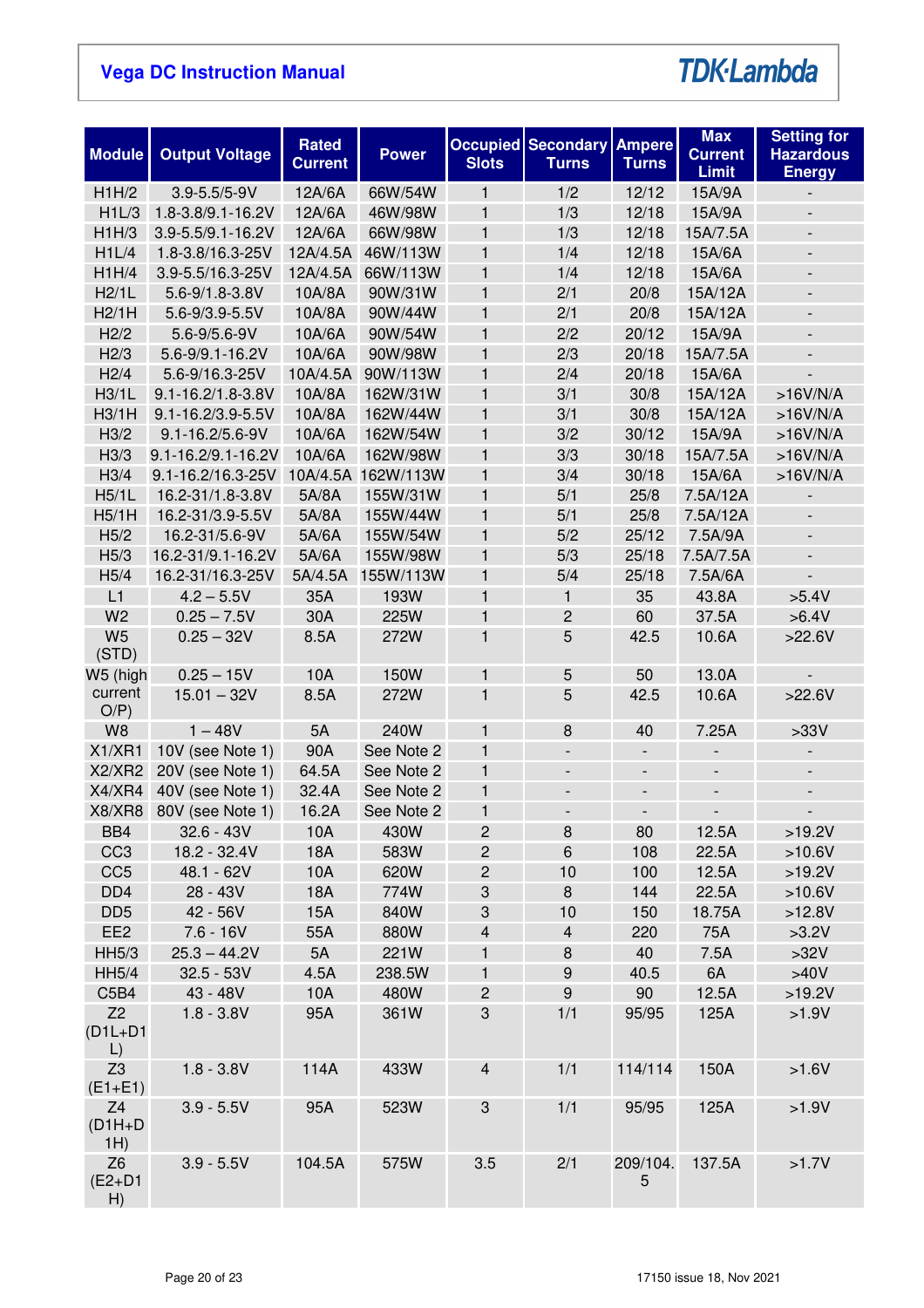# **TDK-Lambda**

| <b>Module</b>                             | <b>Output Voltage</b> | Rated<br><b>Current</b> | <b>Power</b>       | <b>Slots</b>              | <b>Occupied Secondary</b><br><b>Turns</b> | <b>Ampere</b><br><b>Turns</b> | <b>Max</b><br><b>Current</b><br><b>Limit</b> | <b>Setting for</b><br><b>Hazardous</b><br><b>Energy</b> |
|-------------------------------------------|-----------------------|-------------------------|--------------------|---------------------------|-------------------------------------------|-------------------------------|----------------------------------------------|---------------------------------------------------------|
| H1H/2                                     | $3.9 - 5.5 / 5 - 9V$  | 12A/6A                  | 66W/54W            | $\mathbf{1}$              | 1/2                                       | 12/12                         | 15A/9A                                       |                                                         |
| H1L/3                                     | 1.8-3.8/9.1-16.2V     | 12A/6A                  | 46W/98W            | $\mathbf{1}$              | 1/3                                       | 12/18                         | 15A/9A                                       | $\overline{\phantom{a}}$                                |
| H1H/3                                     | 3.9-5.5/9.1-16.2V     | 12A/6A                  | 66W/98W            | $\mathbf{1}$              | 1/3                                       | 12/18                         | 15A/7.5A                                     | $\overline{\phantom{a}}$                                |
| H1L/4                                     | 1.8-3.8/16.3-25V      | 12A/4.5A                | 46W/113W           | 1                         | 1/4                                       | 12/18                         | 15A/6A                                       | $\overline{\phantom{a}}$                                |
| H1H/4                                     | 3.9-5.5/16.3-25V      | 12A/4.5A                | 66W/113W           | $\mathbf{1}$              | 1/4                                       | 12/18                         | 15A/6A                                       | $\blacksquare$                                          |
| H2/1L                                     | 5.6-9/1.8-3.8V        | 10A/8A                  | 90W/31W            | $\mathbf{1}$              | 2/1                                       | 20/8                          | 15A/12A                                      | $\overline{\phantom{a}}$                                |
| H2/1H                                     | 5.6-9/3.9-5.5V        | 10A/8A                  | 90W/44W            | $\mathbf{1}$              | 2/1                                       | 20/8                          | 15A/12A                                      | $\frac{1}{2}$                                           |
| H2/2                                      | 5.6-9/5.6-9V          | 10A/6A                  | 90W/54W            | $\mathbf{1}$              | 2/2                                       | 20/12                         | 15A/9A                                       | $\overline{\phantom{a}}$                                |
| H2/3                                      | 5.6-9/9.1-16.2V       | 10A/6A                  | 90W/98W            | $\mathbf{1}$              | 2/3                                       | 20/18                         | 15A/7.5A                                     |                                                         |
| H2/4                                      | 5.6-9/16.3-25V        | 10A/4.5A                | 90W/113W           | 1                         | 2/4                                       | 20/18                         | 15A/6A                                       |                                                         |
| H3/1L                                     | 9.1-16.2/1.8-3.8V     | 10A/8A                  | 162W/31W           | $\mathbf{1}$              | 3/1                                       | 30/8                          | 15A/12A                                      | $>16V/N/A$                                              |
| H3/1H                                     | 9.1-16.2/3.9-5.5V     | 10A/8A                  | 162W/44W           | $\mathbf{1}$              | 3/1                                       | 30/8                          | 15A/12A                                      | $>16V/N/A$                                              |
| H <sub>3/2</sub>                          | 9.1-16.2/5.6-9V       | 10A/6A                  | 162W/54W           | $\mathbf{1}$              | 3/2                                       | 30/12                         | 15A/9A                                       | $>16V/N/A$                                              |
| H3/3                                      | 9.1-16.2/9.1-16.2V    | 10A/6A                  | 162W/98W           | $\mathbf{1}$              | 3/3                                       | 30/18                         | 15A/7.5A                                     | $>16V/N/A$                                              |
| H <sub>3/4</sub>                          | 9.1-16.2/16.3-25V     |                         | 10A/4.5A 162W/113W | $\mathbf{1}$              | 3/4                                       | 30/18                         | 15A/6A                                       | $>16V/N/A$                                              |
| H5/1L                                     | 16.2-31/1.8-3.8V      | 5A/8A                   | 155W/31W           | $\mathbf{1}$              | 5/1                                       | 25/8                          | 7.5A/12A                                     |                                                         |
| H5/1H                                     | 16.2-31/3.9-5.5V      | 5A/8A                   | 155W/44W           | $\mathbf{1}$              | 5/1                                       | 25/8                          | 7.5A/12A                                     | $\overline{\phantom{a}}$                                |
| H5/2                                      | 16.2-31/5.6-9V        | 5A/6A                   | 155W/54W           | $\mathbf{1}$              | 5/2                                       | 25/12                         | 7.5A/9A                                      | $\blacksquare$                                          |
| H5/3                                      | 16.2-31/9.1-16.2V     | 5A/6A                   | 155W/98W           | $\mathbf{1}$              | 5/3                                       | 25/18                         | 7.5A/7.5A                                    | $\overline{a}$                                          |
| H5/4                                      | 16.2-31/16.3-25V      | 5A/4.5A                 | 155W/113W          | $\mathbf{1}$              | 5/4                                       | 25/18                         | 7.5A/6A                                      |                                                         |
| L1                                        | $4.2 - 5.5V$          | 35A                     | 193W               | 1                         | 1                                         | 35                            | 43.8A                                        | $>5.4V$                                                 |
| W <sub>2</sub>                            | $0.25 - 7.5V$         | 30A                     | 225W               | 1                         | $\overline{c}$                            | 60                            | 37.5A                                        | >6.4V                                                   |
| W <sub>5</sub><br>(STD)                   | $0.25 - 32V$          | 8.5A                    | 272W               | $\mathbf{1}$              | 5                                         | 42.5                          | 10.6A                                        | >22.6V                                                  |
| W5 (high                                  | $0.25 - 15V$          | 10A                     | 150W               | 1                         | 5                                         | 50                            | 13.0A                                        |                                                         |
| current<br>O/P                            | $15.01 - 32V$         | 8.5A                    | 272W               | $\mathbf{1}$              | 5                                         | 42.5                          | 10.6A                                        | >22.6V                                                  |
| W <sub>8</sub>                            | $1 - 48V$             | 5A                      | 240W               | $\mathbf{1}$              | 8                                         | 40                            | 7.25A                                        | >33V                                                    |
| X1/XR1                                    | 10V (see Note 1)      | 90A                     | See Note 2         | $\mathbf{1}$              | $\frac{1}{2}$                             | $\overline{\phantom{a}}$      | $\qquad \qquad \blacksquare$                 | $\overline{\phantom{a}}$                                |
| X2/XR2                                    | 20V (see Note 1)      | 64.5A                   | See Note 2         | $\mathbf{1}$              | $\overline{\phantom{a}}$                  | $\qquad \qquad \blacksquare$  | $\overline{\phantom{a}}$                     | $\overline{\phantom{a}}$                                |
| X4/XR4                                    | 40V (see Note 1)      | 32.4A                   | See Note 2         | $\mathbf{1}$              | $\overline{\phantom{a}}$                  | $\overline{a}$                | $\overline{\phantom{a}}$                     | $\overline{\phantom{a}}$                                |
| X8/XR8                                    | 80V (see Note 1)      | 16.2A                   | See Note 2         | $\mathbf 1$               | -                                         |                               | $\overline{\phantom{a}}$                     |                                                         |
| BB4                                       | $32.6 - 43V$          | 10A                     | 430W               | $\overline{c}$            | 8                                         | 80                            | 12.5A                                        | >19.2V                                                  |
| CC <sub>3</sub>                           | 18.2 - 32.4V          | <b>18A</b>              | 583W               | $\sqrt{2}$                | 6                                         | 108                           | 22.5A                                        | $>10.6V$                                                |
| CC <sub>5</sub>                           | 48.1 - 62V            | 10A                     | 620W               | $\sqrt{2}$                | 10                                        | 100                           | 12.5A                                        | >19.2V                                                  |
| DD <sub>4</sub>                           | 28 - 43V              | <b>18A</b>              | 774W               | $\ensuremath{\mathsf{3}}$ | 8                                         | 144                           | 22.5A                                        | $>10.6V$                                                |
| DD <sub>5</sub>                           | 42 - 56V              | 15A                     | 840W               | $\ensuremath{\mathsf{3}}$ | 10                                        | 150                           | 18.75A                                       | >12.8V                                                  |
| EE <sub>2</sub>                           | $7.6 - 16V$           | 55A                     | 880W               | $\overline{\mathbf{4}}$   | $\overline{\mathbf{4}}$                   | 220                           | 75A                                          | $>3.2V$                                                 |
| <b>HH5/3</b>                              | $25.3 - 44.2V$        | 5A                      | 221W               | 1                         | $\bf 8$                                   | 40                            | 7.5A                                         | >32V                                                    |
| <b>HH5/4</b>                              | $32.5 - 53V$          | 4.5A                    | 238.5W             | $\mathbf{1}$              | $\boldsymbol{9}$                          | 40.5                          | 6A                                           | >40V                                                    |
| C5B4                                      | 43 - 48V              | 10A                     | 480W               | $\mathbf{2}$              | $\boldsymbol{9}$                          | 90                            | 12.5A                                        | >19.2V                                                  |
| Z <sub>2</sub><br>$(D1L+D1)$<br>$\lfloor$ | $1.8 - 3.8V$          | 95A                     | 361W               | 3                         | 1/1                                       | 95/95                         | 125A                                         | $>1.9V$                                                 |
| Z <sub>3</sub><br>$(E1 + E1)$             | $1.8 - 3.8V$          | 114A                    | 433W               | $\overline{4}$            | 1/1                                       | 114/114                       | 150A                                         | $>1.6V$                                                 |
| Z <sub>4</sub><br>$(D1H+D)$<br>1H)        | $3.9 - 5.5V$          | 95A                     | 523W               | 3                         | 1/1                                       | 95/95                         | 125A                                         | $>1.9V$                                                 |
| Z <sub>6</sub><br>$(E2+D1)$<br>H)         | $3.9 - 5.5V$          | 104.5A                  | 575W               | 3.5                       | 2/1                                       | 209/104.<br>5                 | 137.5A                                       | $>1.7V$                                                 |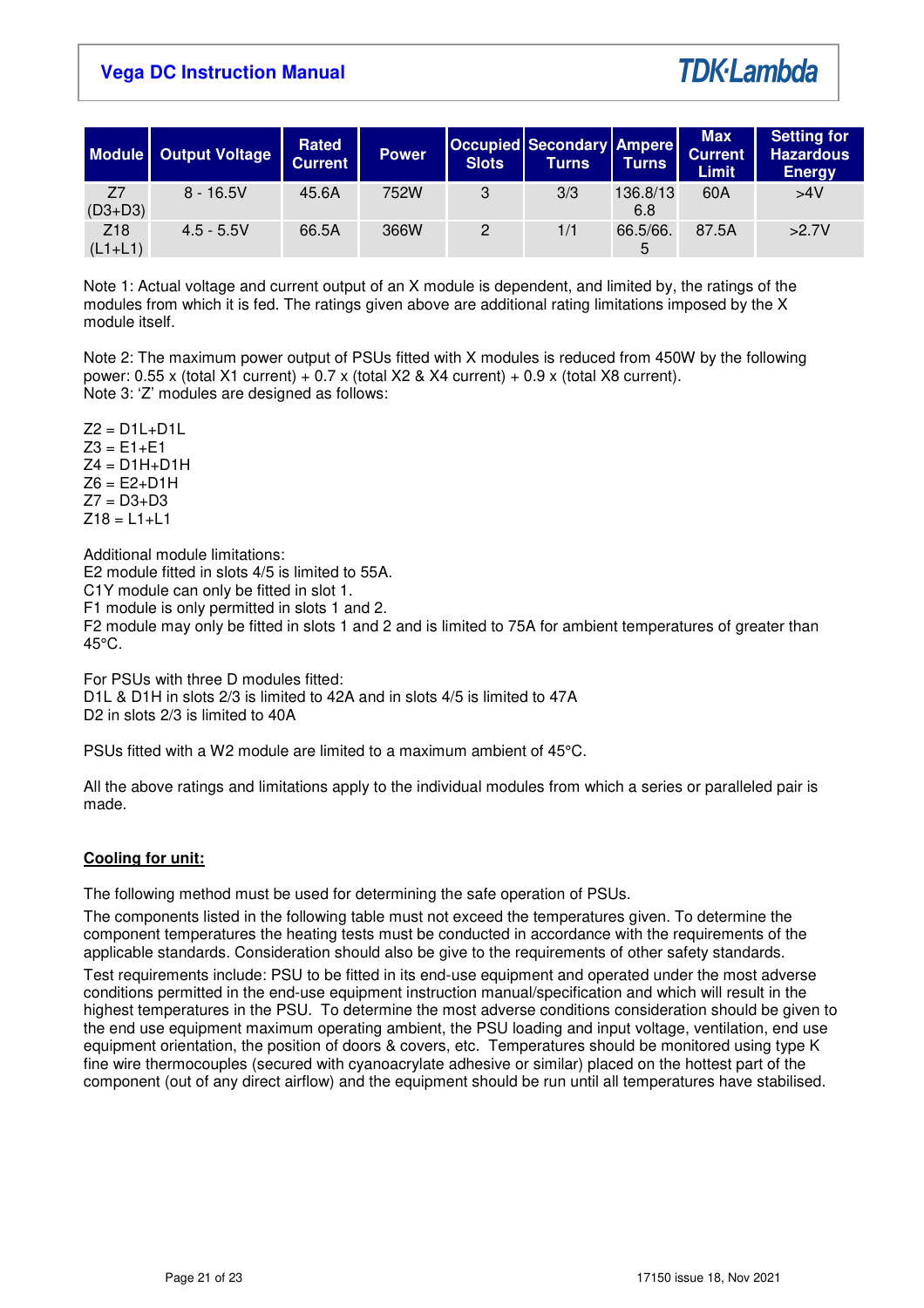

|                              | Module   Output Voltage | Rated<br><b>Current</b> | <b>Power</b> | <b>Slots</b> | <b>Occupied Secondary Ampere</b><br>Turns | <b>Turns</b>    | <b>Max</b><br><b>Current</b><br><b>Limit</b> | <b>Setting for</b><br><b>Hazardous</b><br><b>Energy</b> |
|------------------------------|-------------------------|-------------------------|--------------|--------------|-------------------------------------------|-----------------|----------------------------------------------|---------------------------------------------------------|
| Z7<br>$(D3+D3)$              | $8 - 16.5V$             | 45.6A                   | 752W         | 3            | 3/3                                       | 136.8/13<br>6.8 | 60A                                          | >4V                                                     |
| Z <sub>18</sub><br>$(L1+L1)$ | $4.5 - 5.5V$            | 66.5A                   | 366W         | 2            | 1/1                                       | 66.5/66.<br>5   | 87.5A                                        | >2.7V                                                   |

Note 1: Actual voltage and current output of an X module is dependent, and limited by, the ratings of the modules from which it is fed. The ratings given above are additional rating limitations imposed by the X module itself.

Note 2: The maximum power output of PSUs fitted with X modules is reduced from 450W by the following power: 0.55 x (total X1 current) + 0.7 x (total X2 & X4 current) + 0.9 x (total X8 current). Note 3: 'Z' modules are designed as follows:

 $Z2 = D1L+D1L$  $Z3 = E1 + E1$  $Z4 = D1H+D1H$  $Z6 = E2 + D1H$  $Z7 = D3 + D3$  $Z18 = L1 + L1$ 

Additional module limitations:

E2 module fitted in slots 4/5 is limited to 55A.

C1Y module can only be fitted in slot 1.

F1 module is only permitted in slots 1 and 2.

F2 module may only be fitted in slots 1 and 2 and is limited to 75A for ambient temperatures of greater than 45°C.

For PSUs with three D modules fitted: D1L & D1H in slots 2/3 is limited to 42A and in slots 4/5 is limited to 47A D<sub>2</sub> in slots  $2/3$  is limited to 40A

PSUs fitted with a W2 module are limited to a maximum ambient of 45°C.

All the above ratings and limitations apply to the individual modules from which a series or paralleled pair is made.

# **Cooling for unit:**

The following method must be used for determining the safe operation of PSUs.

The components listed in the following table must not exceed the temperatures given. To determine the component temperatures the heating tests must be conducted in accordance with the requirements of the applicable standards. Consideration should also be give to the requirements of other safety standards.

Test requirements include: PSU to be fitted in its end-use equipment and operated under the most adverse conditions permitted in the end-use equipment instruction manual/specification and which will result in the highest temperatures in the PSU. To determine the most adverse conditions consideration should be given to the end use equipment maximum operating ambient, the PSU loading and input voltage, ventilation, end use equipment orientation, the position of doors & covers, etc. Temperatures should be monitored using type K fine wire thermocouples (secured with cyanoacrylate adhesive or similar) placed on the hottest part of the component (out of any direct airflow) and the equipment should be run until all temperatures have stabilised.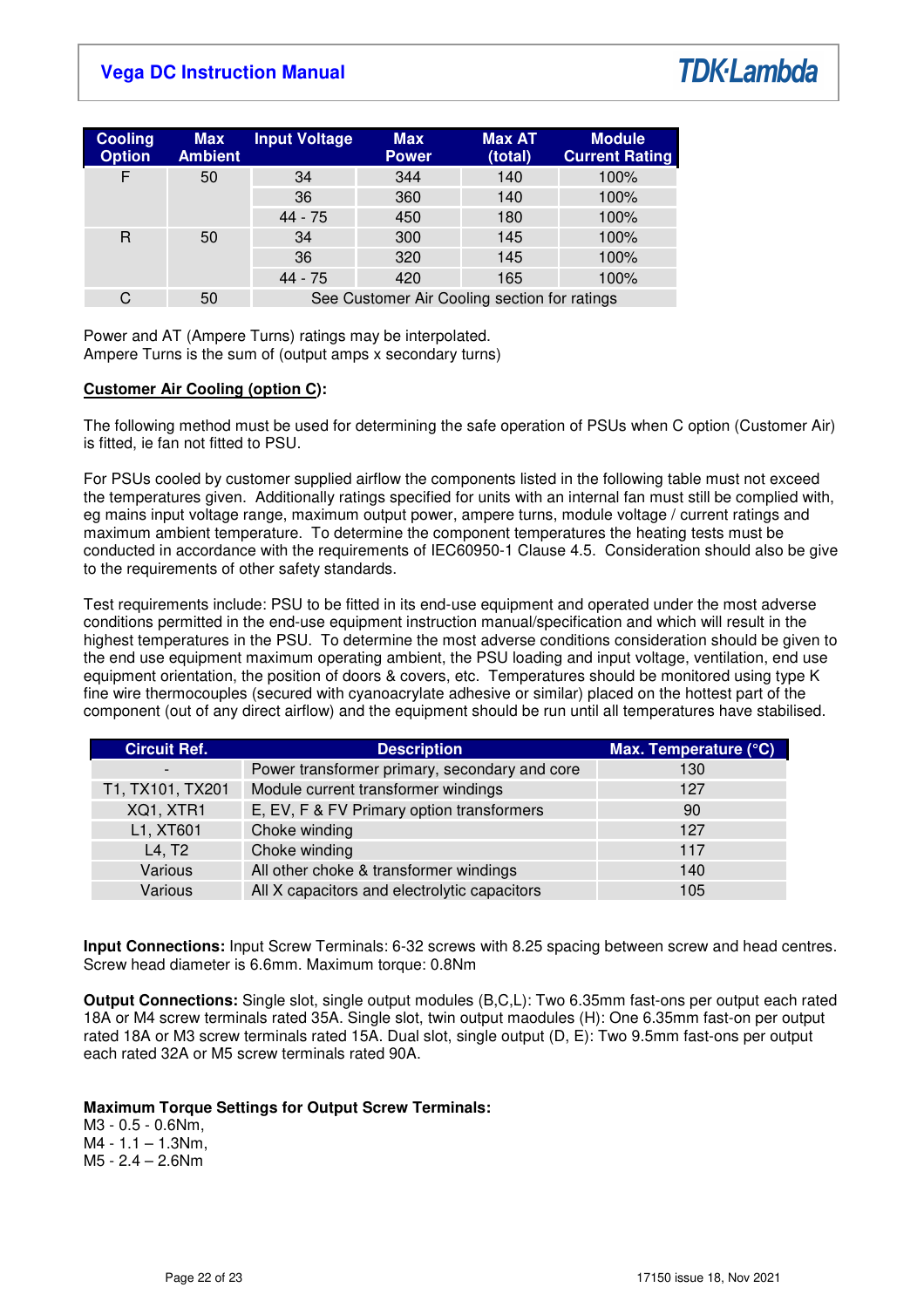

| <b>Cooling</b><br><b>Option</b> | <b>Max</b><br><b>Ambient</b> | <b>Input Voltage</b>                         | <b>Max</b><br><b>Power</b> | <b>Max AT</b><br>(total) | <b>Module</b><br><b>Current Rating</b> |  |
|---------------------------------|------------------------------|----------------------------------------------|----------------------------|--------------------------|----------------------------------------|--|
| F                               | 50                           | 34                                           | 344                        | 140                      | 100%                                   |  |
|                                 |                              | 36                                           | 360                        | 140                      | 100%                                   |  |
|                                 |                              | 44 - 75                                      | 450                        | 180                      | 100%                                   |  |
| R                               | 50                           | 34                                           | 300                        | 145                      | 100%                                   |  |
|                                 | 36                           | 320                                          | 145                        | 100%                     |                                        |  |
|                                 |                              | 44 - 75                                      | 420                        | 165                      | 100%                                   |  |
| C                               | 50                           | See Customer Air Cooling section for ratings |                            |                          |                                        |  |

Power and AT (Ampere Turns) ratings may be interpolated. Ampere Turns is the sum of (output amps x secondary turns)

### **Customer Air Cooling (option C):**

The following method must be used for determining the safe operation of PSUs when C option (Customer Air) is fitted, ie fan not fitted to PSU.

For PSUs cooled by customer supplied airflow the components listed in the following table must not exceed the temperatures given. Additionally ratings specified for units with an internal fan must still be complied with, eg mains input voltage range, maximum output power, ampere turns, module voltage / current ratings and maximum ambient temperature. To determine the component temperatures the heating tests must be conducted in accordance with the requirements of IEC60950-1 Clause 4.5. Consideration should also be give to the requirements of other safety standards.

Test requirements include: PSU to be fitted in its end-use equipment and operated under the most adverse conditions permitted in the end-use equipment instruction manual/specification and which will result in the highest temperatures in the PSU. To determine the most adverse conditions consideration should be given to the end use equipment maximum operating ambient, the PSU loading and input voltage, ventilation, end use equipment orientation, the position of doors & covers, etc. Temperatures should be monitored using type K fine wire thermocouples (secured with cyanoacrylate adhesive or similar) placed on the hottest part of the component (out of any direct airflow) and the equipment should be run until all temperatures have stabilised.

| <b>Circuit Ref.</b> | <b>Description</b>                            | Max. Temperature (°C) |
|---------------------|-----------------------------------------------|-----------------------|
|                     | Power transformer primary, secondary and core | 130                   |
| T1, TX101, TX201    | Module current transformer windings           | 127                   |
| XQ1, XTR1           | E, EV, F & FV Primary option transformers     | 90                    |
| L1, XT601           | Choke winding                                 | 127                   |
| L4, T2              | Choke winding                                 | 117                   |
| Various             | All other choke & transformer windings        | 140                   |
| Various             | All X capacitors and electrolytic capacitors  | 105                   |

**Input Connections:** Input Screw Terminals: 6-32 screws with 8.25 spacing between screw and head centres. Screw head diameter is 6.6mm. Maximum torque: 0.8Nm

**Output Connections:** Single slot, single output modules (B,C,L): Two 6.35mm fast-ons per output each rated 18A or M4 screw terminals rated 35A. Single slot, twin output maodules (H): One 6.35mm fast-on per output rated 18A or M3 screw terminals rated 15A. Dual slot, single output (D, E): Two 9.5mm fast-ons per output each rated 32A or M5 screw terminals rated 90A.

### **Maximum Torque Settings for Output Screw Terminals:**

M3 - 0.5 - 0.6Nm,  $M4 - 1.1 - 1.3$ Nm, M5 - 2.4 – 2.6Nm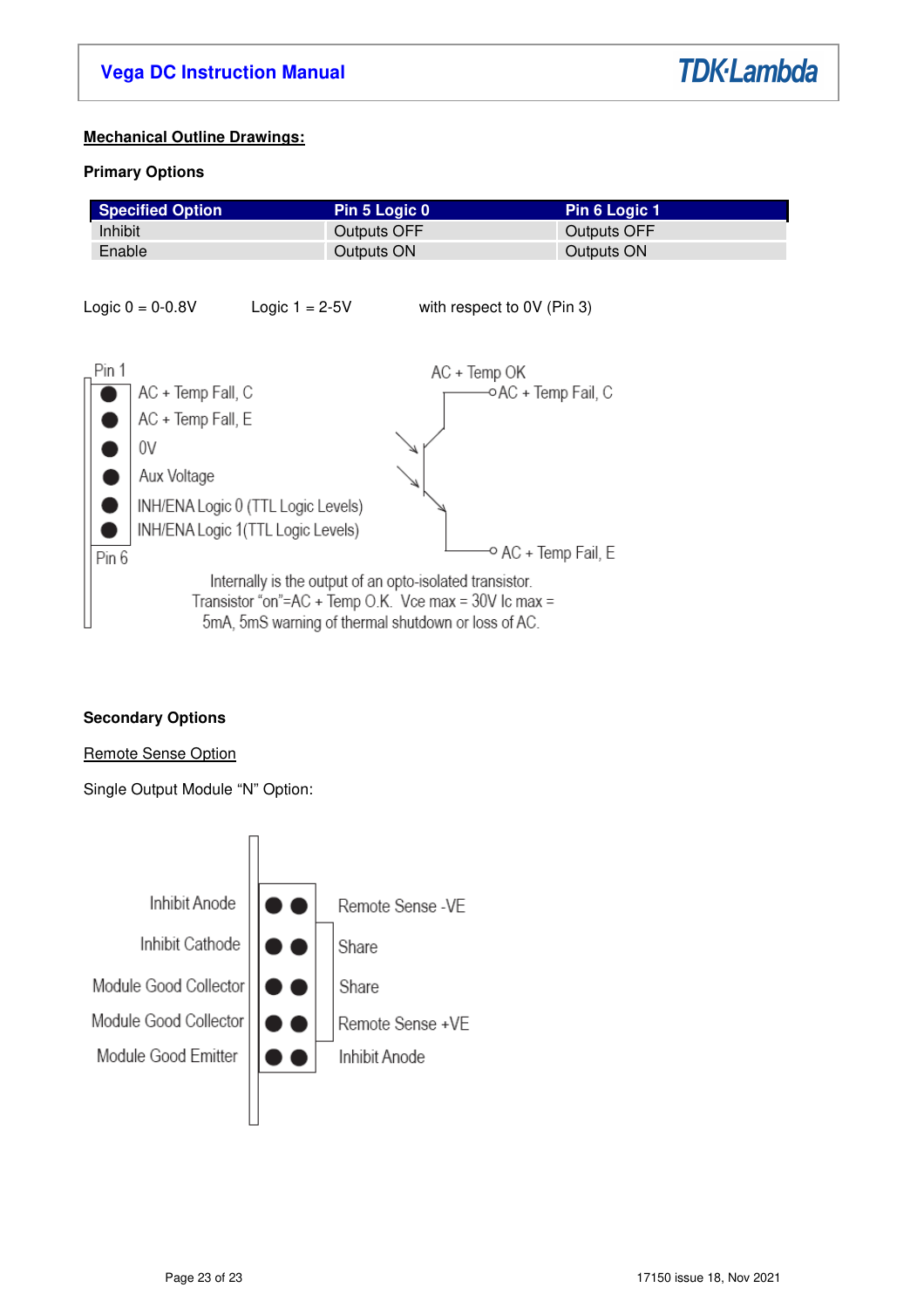

# **Mechanical Outline Drawings:**

# **Primary Options**

| <b>Specified Option</b> | Pin 5 Logic 0 \ | Pin 6 Logic 1 |
|-------------------------|-----------------|---------------|
| Inhibit                 | Outputs OFF     | Outputs OFF   |
| Enable                  | Outputs ON      | Outputs ON    |



# **Secondary Options**

# Remote Sense Option

Single Output Module "N" Option:

![](_page_22_Figure_9.jpeg)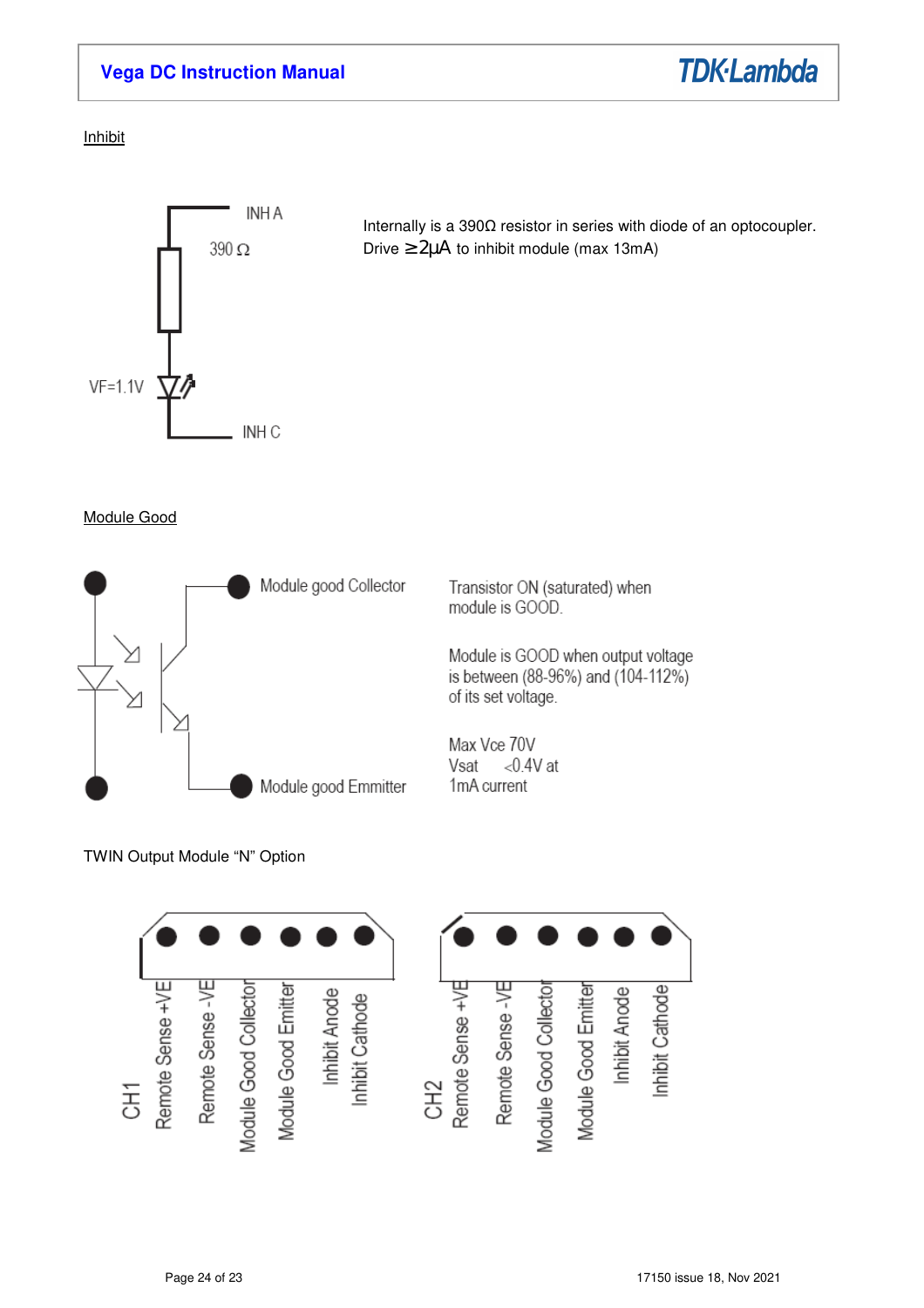![](_page_23_Picture_1.jpeg)

Inhibit

![](_page_23_Figure_3.jpeg)

Internally is a 390Ω resistor in series with diode of an optocoupler. Drive ≥ 2µΑ to inhibit module (max 13mA)

Module Good

![](_page_23_Figure_6.jpeg)

TWIN Output Module "N" Option

![](_page_23_Figure_8.jpeg)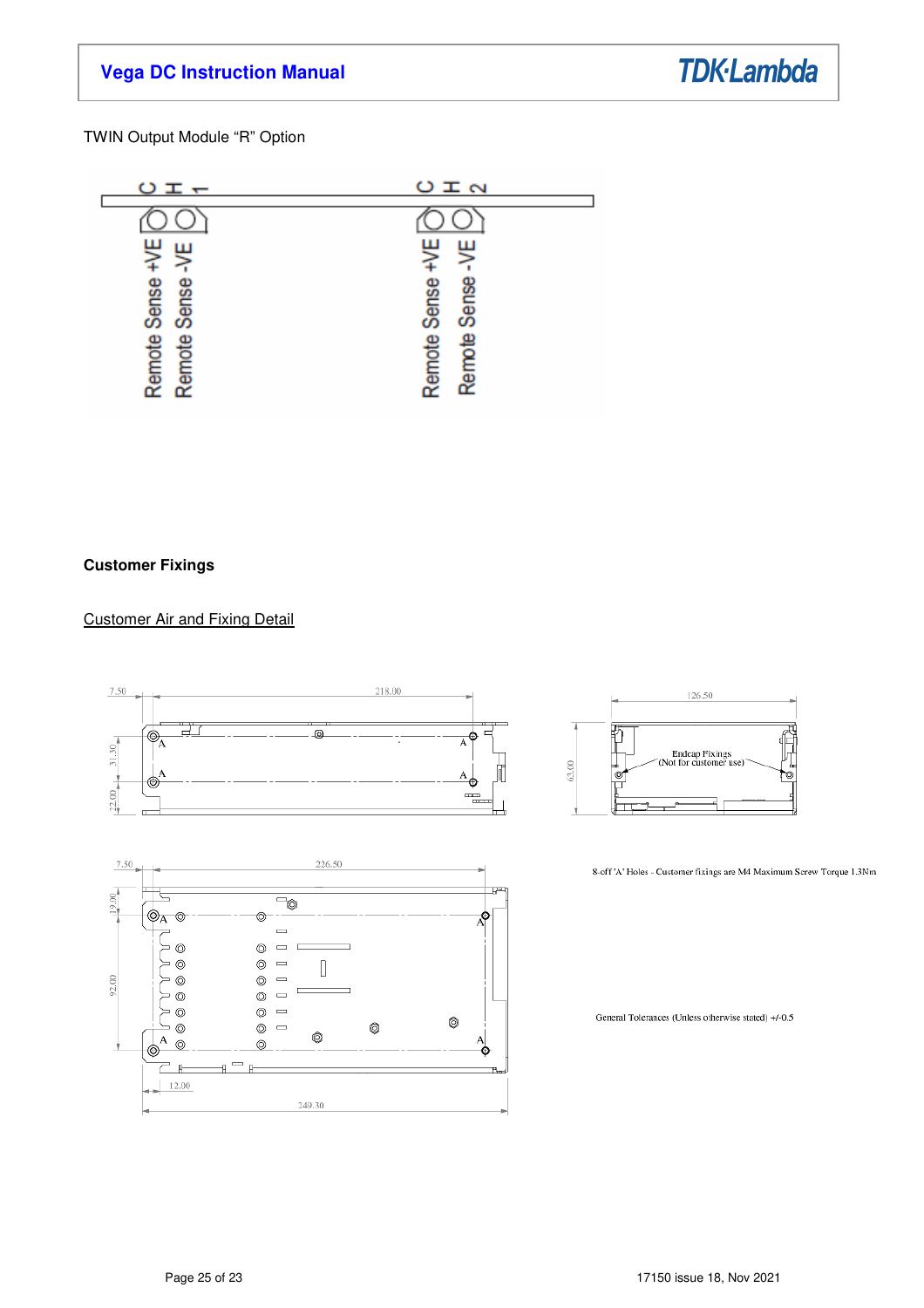**TDK-Lambda** 

TWIN Output Module "R" Option

![](_page_24_Figure_3.jpeg)

### **Customer Fixings**

### Customer Air and Fixing Detail

![](_page_24_Figure_6.jpeg)

![](_page_24_Figure_7.jpeg)

![](_page_24_Figure_8.jpeg)

8-off 'A' Holes - Customer fixings are M4 Maximum Screw Torque 1.3Nm

General Tolerances (Unless otherwise stated) +/-0.5